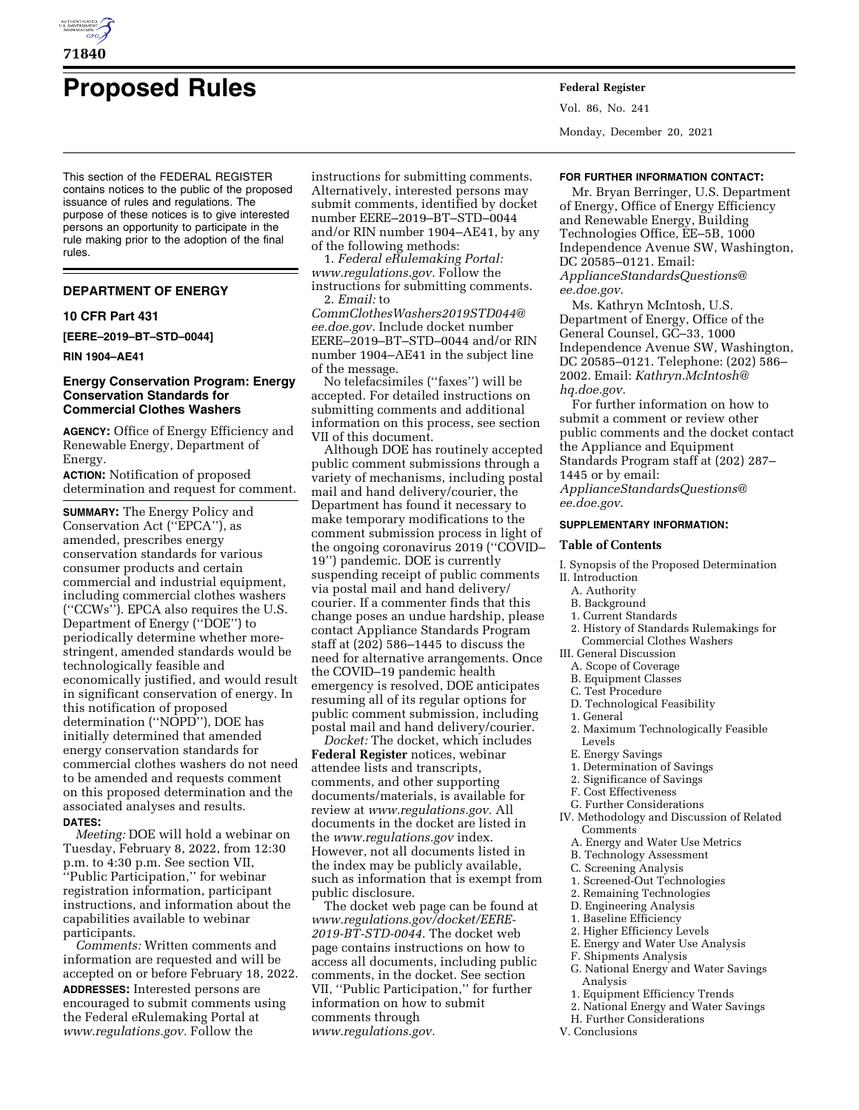

# **Proposed Rules Federal Register**

This section of the FEDERAL REGISTER contains notices to the public of the proposed issuance of rules and regulations. The purpose of these notices is to give interested persons an opportunity to participate in the rule making prior to the adoption of the final rules.

### **DEPARTMENT OF ENERGY**

### **10 CFR Part 431**

**[EERE–2019–BT–STD–0044]** 

### **RIN 1904–AE41**

# **Energy Conservation Program: Energy Conservation Standards for Commercial Clothes Washers**

**AGENCY:** Office of Energy Efficiency and Renewable Energy, Department of Energy.

**ACTION:** Notification of proposed determination and request for comment.

**SUMMARY:** The Energy Policy and Conservation Act (''EPCA''), as amended, prescribes energy conservation standards for various consumer products and certain commercial and industrial equipment, including commercial clothes washers (''CCWs''). EPCA also requires the U.S. Department of Energy (''DOE'') to periodically determine whether morestringent, amended standards would be technologically feasible and economically justified, and would result in significant conservation of energy. In this notification of proposed determination (''NOPD''), DOE has initially determined that amended energy conservation standards for commercial clothes washers do not need to be amended and requests comment on this proposed determination and the associated analyses and results. **DATES:**

*Meeting:* DOE will hold a webinar on Tuesday, February 8, 2022, from 12:30 p.m. to 4:30 p.m. See section VII, ''Public Participation,'' for webinar registration information, participant instructions, and information about the capabilities available to webinar participants.

*Comments:* Written comments and information are requested and will be accepted on or before February 18, 2022. **ADDRESSES:** Interested persons are encouraged to submit comments using the Federal eRulemaking Portal at *[www.regulations.gov.](http://www.regulations.gov)* Follow the

instructions for submitting comments. Alternatively, interested persons may submit comments, identified by docket number EERE–2019–BT–STD–0044 and/or RIN number 1904–AE41, by any of the following methods:

1. *Federal eRulemaking Portal: [www.regulations.gov.](http://www.regulations.gov)* Follow the instructions for submitting comments. 2. *Email:* to

*[CommClothesWashers2019STD044@](mailto:CommClothesWashers2019STD044@ee.doe.gov) [ee.doe.gov.](mailto:CommClothesWashers2019STD044@ee.doe.gov)* Include docket number EERE–2019–BT–STD–0044 and/or RIN number 1904–AE41 in the subject line of the message.

No telefacsimiles (''faxes'') will be accepted. For detailed instructions on submitting comments and additional information on this process, see section VII of this document.

Although DOE has routinely accepted public comment submissions through a variety of mechanisms, including postal mail and hand delivery/courier, the Department has found it necessary to make temporary modifications to the comment submission process in light of the ongoing coronavirus 2019 (''COVID– 19'') pandemic. DOE is currently suspending receipt of public comments via postal mail and hand delivery/ courier. If a commenter finds that this change poses an undue hardship, please contact Appliance Standards Program staff at (202) 586–1445 to discuss the need for alternative arrangements. Once the COVID–19 pandemic health emergency is resolved, DOE anticipates resuming all of its regular options for public comment submission, including postal mail and hand delivery/courier.

*Docket:* The docket, which includes **Federal Register** notices, webinar attendee lists and transcripts, comments, and other supporting documents/materials, is available for review at *[www.regulations.gov.](http://www.regulations.gov)* All documents in the docket are listed in the *[www.regulations.gov](http://www.regulations.gov)* index. However, not all documents listed in the index may be publicly available, such as information that is exempt from public disclosure.

The docket web page can be found at *[www.regulations.gov/docket/EERE-](http://www.regulations.gov/docket/EERE-2019-BT-STD-0044)[2019-BT-STD-0044.](http://www.regulations.gov/docket/EERE-2019-BT-STD-0044)* The docket web page contains instructions on how to access all documents, including public comments, in the docket. See section VII, ''Public Participation,'' for further information on how to submit comments through *[www.regulations.gov.](http://www.regulations.gov)* 

Vol. 86, No. 241 Monday, December 20, 2021

#### **FOR FURTHER INFORMATION CONTACT:**

Mr. Bryan Berringer, U.S. Department of Energy, Office of Energy Efficiency and Renewable Energy, Building Technologies Office, EE–5B, 1000 Independence Avenue SW, Washington, DC 20585–0121. Email: *[ApplianceStandardsQuestions@](mailto:ApplianceStandardsQuestions@ee.doe.gov)*

*[ee.doe.gov.](mailto:ApplianceStandardsQuestions@ee.doe.gov)* 

Ms. Kathryn McIntosh, U.S. Department of Energy, Office of the General Counsel, GC–33, 1000 Independence Avenue SW, Washington, DC 20585–0121. Telephone: (202) 586– 2002. Email: *[Kathryn.McIntosh@](mailto:Kathryn.McIntosh@hq.doe.gov) [hq.doe.gov.](mailto:Kathryn.McIntosh@hq.doe.gov)* 

For further information on how to submit a comment or review other public comments and the docket contact the Appliance and Equipment Standards Program staff at (202) 287– 1445 or by email:

*[ApplianceStandardsQuestions@](mailto:ApplianceStandardsQuestions@ee.doe.gov) [ee.doe.gov.](mailto:ApplianceStandardsQuestions@ee.doe.gov)* 

### **SUPPLEMENTARY INFORMATION:**

### **Table of Contents**

I. Synopsis of the Proposed Determination II. Introduction

- A. Authority
- B. Background
- 1. Current Standards
- 2. History of Standards Rulemakings for Commercial Clothes Washers
- III. General Discussion
	- A. Scope of Coverage
	- B. Equipment Classes
	- C. Test Procedure
	- D. Technological Feasibility
	- 1. General
	- 2. Maximum Technologically Feasible
	- Levels
	- E. Energy Savings
	- 1. Determination of Savings
	- 2. Significance of Savings
	- F. Cost Effectiveness
	- G. Further Considerations
- IV. Methodology and Discussion of Related Comments
	- A. Energy and Water Use Metrics
	- B. Technology Assessment
	- C. Screening Analysis
	- 1. Screened-Out Technologies
	- 2. Remaining Technologies
	- D. Engineering Analysis
	- 1. Baseline Efficiency
	- 2. Higher Efficiency Levels
	- E. Energy and Water Use Analysis
	- F. Shipments Analysis
	-
	- G. National Energy and Water Savings Analysis
	- 1. Equipment Efficiency Trends
	- 2. National Energy and Water Savings
- H. Further Considerations
- V. Conclusions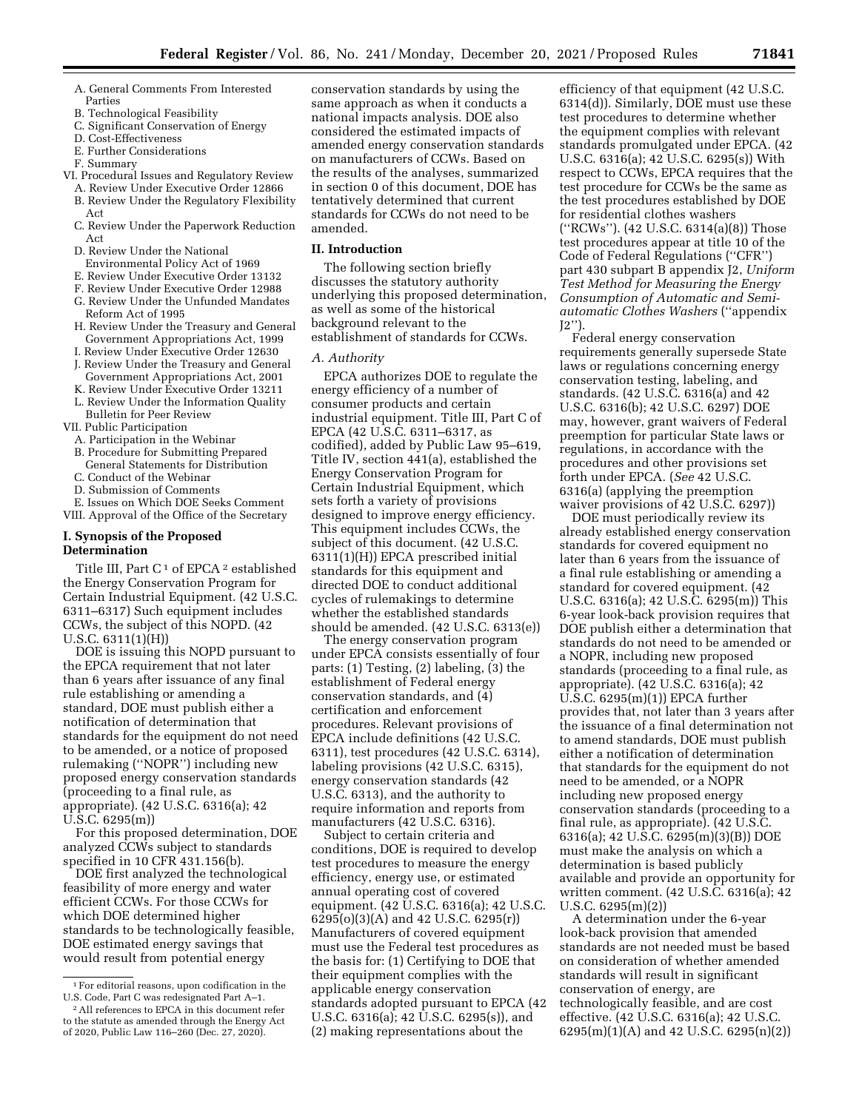- 
- A. General Comments From Interested Parties
- B. Technological Feasibility
- C. Significant Conservation of Energy D. Cost-Effectiveness
- E. Further Considerations
- F. Summary
- 
- VI. Procedural Issues and Regulatory Review A. Review Under Executive Order 12866
	- B. Review Under the Regulatory Flexibility
	- Act C. Review Under the Paperwork Reduction Act
	- D. Review Under the National Environmental Policy Act of 1969
	- E. Review Under Executive Order 13132
	- F. Review Under Executive Order 12988
	- G. Review Under the Unfunded Mandates Reform Act of 1995
	- H. Review Under the Treasury and General Government Appropriations Act, 1999
	- I. Review Under Executive Order 12630
	- J. Review Under the Treasury and General Government Appropriations Act, 2001
	- K. Review Under Executive Order 13211 L. Review Under the Information Quality
	- Bulletin for Peer Review
- VII. Public Participation
	- A. Participation in the Webinar
	- B. Procedure for Submitting Prepared General Statements for Distribution
	- C. Conduct of the Webinar
	- D. Submission of Comments
- E. Issues on Which DOE Seeks Comment VIII. Approval of the Office of the Secretary

# **I. Synopsis of the Proposed Determination**

Title III, Part C<sup>1</sup> of EPCA<sup>2</sup> established the Energy Conservation Program for Certain Industrial Equipment. (42 U.S.C. 6311–6317) Such equipment includes CCWs, the subject of this NOPD. (42 U.S.C. 6311(1)(H))

DOE is issuing this NOPD pursuant to the EPCA requirement that not later than 6 years after issuance of any final rule establishing or amending a standard, DOE must publish either a notification of determination that standards for the equipment do not need to be amended, or a notice of proposed rulemaking (''NOPR'') including new proposed energy conservation standards (proceeding to a final rule, as appropriate). (42 U.S.C. 6316(a); 42 U.S.C. 6295(m))

For this proposed determination, DOE analyzed CCWs subject to standards specified in 10 CFR 431.156(b).

DOE first analyzed the technological feasibility of more energy and water efficient CCWs. For those CCWs for which DOE determined higher standards to be technologically feasible, DOE estimated energy savings that would result from potential energy

conservation standards by using the same approach as when it conducts a national impacts analysis. DOE also considered the estimated impacts of amended energy conservation standards on manufacturers of CCWs. Based on the results of the analyses, summarized in section 0 of this document, DOE has tentatively determined that current standards for CCWs do not need to be amended.

# **II. Introduction**

The following section briefly discusses the statutory authority underlying this proposed determination, as well as some of the historical background relevant to the establishment of standards for CCWs.

### *A. Authority*

EPCA authorizes DOE to regulate the energy efficiency of a number of consumer products and certain industrial equipment. Title III, Part C of EPCA (42 U.S.C. 6311–6317, as codified), added by Public Law 95–619, Title IV, section 441(a), established the Energy Conservation Program for Certain Industrial Equipment, which sets forth a variety of provisions designed to improve energy efficiency. This equipment includes CCWs, the subject of this document. (42 U.S.C. 6311(1)(H)) EPCA prescribed initial standards for this equipment and directed DOE to conduct additional cycles of rulemakings to determine whether the established standards should be amended. (42 U.S.C. 6313(e))

The energy conservation program under EPCA consists essentially of four parts: (1) Testing, (2) labeling, (3) the establishment of Federal energy conservation standards, and (4) certification and enforcement procedures. Relevant provisions of EPCA include definitions (42 U.S.C. 6311), test procedures (42 U.S.C. 6314), labeling provisions (42 U.S.C. 6315), energy conservation standards (42 U.S.C. 6313), and the authority to require information and reports from manufacturers (42 U.S.C. 6316).

Subject to certain criteria and conditions, DOE is required to develop test procedures to measure the energy efficiency, energy use, or estimated annual operating cost of covered equipment. (42 U.S.C. 6316(a); 42 U.S.C. 6295(o)(3)(A) and 42 U.S.C. 6295(r)) Manufacturers of covered equipment must use the Federal test procedures as the basis for: (1) Certifying to DOE that their equipment complies with the applicable energy conservation standards adopted pursuant to EPCA (42 U.S.C. 6316(a); 42 U.S.C. 6295(s)), and (2) making representations about the

efficiency of that equipment (42 U.S.C. 6314(d)). Similarly, DOE must use these test procedures to determine whether the equipment complies with relevant standards promulgated under EPCA. (42 U.S.C. 6316(a); 42 U.S.C. 6295(s)) With respect to CCWs, EPCA requires that the test procedure for CCWs be the same as the test procedures established by DOE for residential clothes washers (''RCWs''). (42 U.S.C. 6314(a)(8)) Those test procedures appear at title 10 of the Code of Federal Regulations (''CFR'') part 430 subpart B appendix J2, *Uniform Test Method for Measuring the Energy Consumption of Automatic and Semiautomatic Clothes Washers* (''appendix J2'').

Federal energy conservation requirements generally supersede State laws or regulations concerning energy conservation testing, labeling, and standards. (42 U.S.C. 6316(a) and 42 U.S.C. 6316(b); 42 U.S.C. 6297) DOE may, however, grant waivers of Federal preemption for particular State laws or regulations, in accordance with the procedures and other provisions set forth under EPCA. (*See* 42 U.S.C. 6316(a) (applying the preemption waiver provisions of 42 U.S.C. 6297))

DOE must periodically review its already established energy conservation standards for covered equipment no later than 6 years from the issuance of a final rule establishing or amending a standard for covered equipment. (42 U.S.C. 6316(a); 42 U.S.C. 6295(m)) This 6-year look-back provision requires that DOE publish either a determination that standards do not need to be amended or a NOPR, including new proposed standards (proceeding to a final rule, as appropriate). (42 U.S.C. 6316(a); 42 U.S.C. 6295(m)(1)) EPCA further provides that, not later than 3 years after the issuance of a final determination not to amend standards, DOE must publish either a notification of determination that standards for the equipment do not need to be amended, or a NOPR including new proposed energy conservation standards (proceeding to a final rule, as appropriate). (42 U.S.C. 6316(a); 42 U.S.C. 6295(m)(3)(B)) DOE must make the analysis on which a determination is based publicly available and provide an opportunity for written comment. (42 U.S.C. 6316(a); 42 U.S.C. 6295(m)(2))

A determination under the 6-year look-back provision that amended standards are not needed must be based on consideration of whether amended standards will result in significant conservation of energy, are technologically feasible, and are cost effective. (42 U.S.C. 6316(a); 42 U.S.C. 6295(m)(1)(A) and 42 U.S.C. 6295(n)(2))

<sup>1</sup>For editorial reasons, upon codification in the U.S. Code, Part C was redesignated Part A–1.

<sup>2</sup>All references to EPCA in this document refer to the statute as amended through the Energy Act of 2020, Public Law 116–260 (Dec. 27, 2020).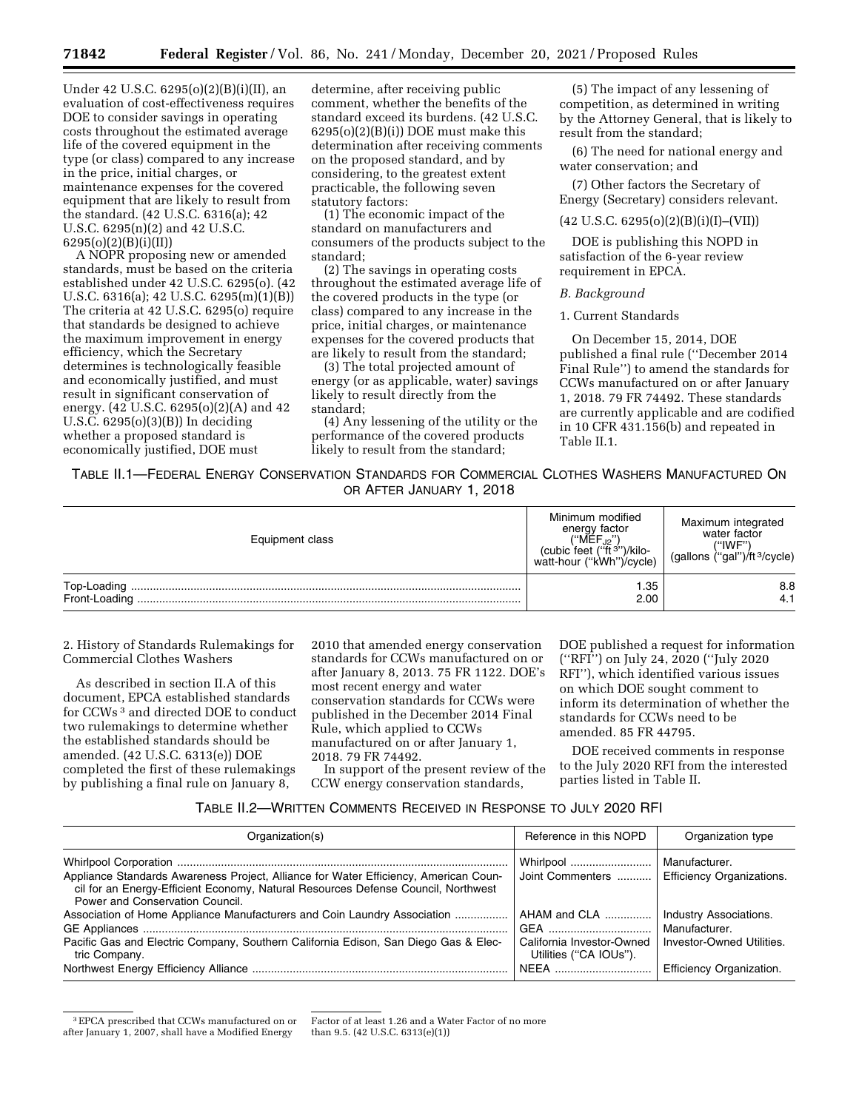Under 42 U.S.C. 6295(o)(2)(B)(i)(II), an evaluation of cost-effectiveness requires DOE to consider savings in operating costs throughout the estimated average life of the covered equipment in the type (or class) compared to any increase in the price, initial charges, or maintenance expenses for the covered equipment that are likely to result from the standard. (42 U.S.C. 6316(a); 42 U.S.C. 6295(n)(2) and 42 U.S.C. 6295(o)(2)(B)(i)(II))

A NOPR proposing new or amended standards, must be based on the criteria established under 42 U.S.C. 6295(o). (42 U.S.C. 6316(a); 42 U.S.C. 6295(m)(1)(B)) The criteria at 42 U.S.C. 6295(o) require that standards be designed to achieve the maximum improvement in energy efficiency, which the Secretary determines is technologically feasible and economically justified, and must result in significant conservation of energy. (42 U.S.C. 6295(o)(2)(A) and 42 U.S.C. 6295(o)(3)(B)) In deciding whether a proposed standard is economically justified, DOE must

determine, after receiving public comment, whether the benefits of the standard exceed its burdens. (42 U.S.C.  $6295(o)(2)(B)(i))$  DOE must make this determination after receiving comments on the proposed standard, and by considering, to the greatest extent practicable, the following seven statutory factors:

(1) The economic impact of the standard on manufacturers and consumers of the products subject to the standard;

(2) The savings in operating costs throughout the estimated average life of the covered products in the type (or class) compared to any increase in the price, initial charges, or maintenance expenses for the covered products that are likely to result from the standard;

(3) The total projected amount of energy (or as applicable, water) savings likely to result directly from the standard;

(4) Any lessening of the utility or the performance of the covered products likely to result from the standard;

(5) The impact of any lessening of competition, as determined in writing by the Attorney General, that is likely to result from the standard;

(6) The need for national energy and water conservation; and

(7) Other factors the Secretary of Energy (Secretary) considers relevant.

#### $(42 \text{ U.S.C. } 6295(o)(2)(B)(i)(I)–(VII))$

DOE is publishing this NOPD in satisfaction of the 6-year review requirement in EPCA.

# *B. Background*

### 1. Current Standards

On December 15, 2014, DOE published a final rule (''December 2014 Final Rule'') to amend the standards for CCWs manufactured on or after January 1, 2018. 79 FR 74492. These standards are currently applicable and are codified in 10 CFR 431.156(b) and repeated in Table II.1.

TABLE II.1—FEDERAL ENERGY CONSERVATION STANDARDS FOR COMMERCIAL CLOTHES WASHERS MANUFACTURED ON OR AFTER JANUARY 1, 2018

| Equipment class | Minimum modified<br>energy factor<br>("MEF. <sub>12</sub> ")<br>(cubic feet ("ft <sup>3"</sup> )/kilo-<br>watt-hour ("kWh")/cycle) | Maximum integrated<br>water factor<br>("IWF")<br>(gallons ("gal")/ft <sup>3</sup> /cycle) |
|-----------------|------------------------------------------------------------------------------------------------------------------------------------|-------------------------------------------------------------------------------------------|
| Front-Loading   | .35<br>2.00                                                                                                                        | 8.8<br>4.1                                                                                |

2. History of Standards Rulemakings for Commercial Clothes Washers

As described in section II.A of this document, EPCA established standards for CCWs 3 and directed DOE to conduct two rulemakings to determine whether the established standards should be amended. (42 U.S.C. 6313(e)) DOE completed the first of these rulemakings by publishing a final rule on January 8,

2010 that amended energy conservation standards for CCWs manufactured on or after January 8, 2013. 75 FR 1122. DOE's most recent energy and water conservation standards for CCWs were published in the December 2014 Final Rule, which applied to CCWs manufactured on or after January 1, 2018. 79 FR 74492.

In support of the present review of the CCW energy conservation standards,

DOE published a request for information (''RFI'') on July 24, 2020 (''July 2020 RFI''), which identified various issues on which DOE sought comment to inform its determination of whether the standards for CCWs need to be amended. 85 FR 44795.

DOE received comments in response to the July 2020 RFI from the interested parties listed in Table II.

# TABLE II.2—WRITTEN COMMENTS RECEIVED IN RESPONSE TO JULY 2020 RFI

| Organization(s)                                                                                                                                                                                              | Reference in this NOPD                                              | Organization type                                                    |
|--------------------------------------------------------------------------------------------------------------------------------------------------------------------------------------------------------------|---------------------------------------------------------------------|----------------------------------------------------------------------|
| Appliance Standards Awareness Project, Alliance for Water Efficiency, American Coun-<br>cil for an Energy-Efficient Economy, Natural Resources Defense Council, Northwest<br>Power and Conservation Council. | Whirlpool<br>Joint Commenters                                       | Manufacturer.<br><b>Efficiency Organizations.</b>                    |
| Association of Home Appliance Manufacturers and Coin Laundry Association<br>Pacific Gas and Electric Company, Southern California Edison, San Diego Gas & Elec-<br>tric Company.                             | AHAM and CLA<br>California Investor-Owned<br>Utilities ("CA IOUs"). | Industry Associations.<br>Manufacturer.<br>Investor-Owned Utilities. |
|                                                                                                                                                                                                              | └ NEEA …………………………                                                   | Efficiency Organization.                                             |

<sup>3</sup>EPCA prescribed that CCWs manufactured on or after January 1, 2007, shall have a Modified Energy

Factor of at least 1.26 and a Water Factor of no more than 9.5. (42 U.S.C. 6313(e)(1))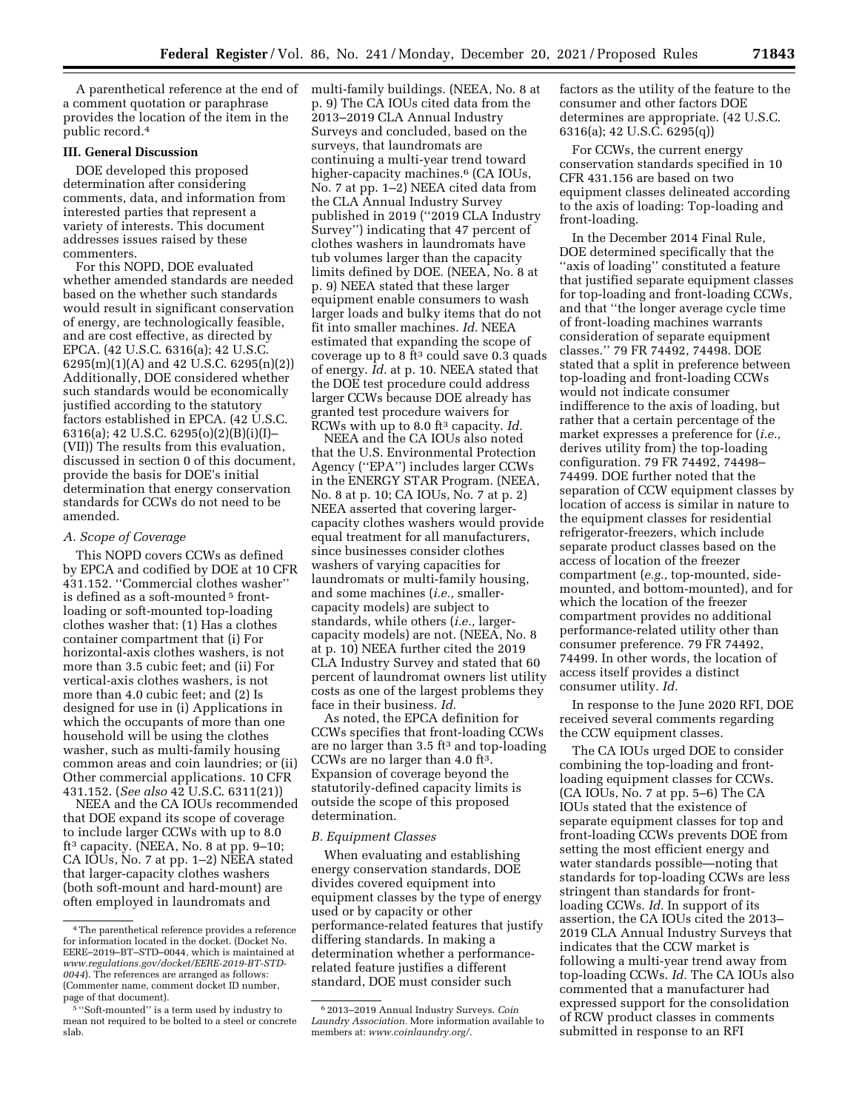a comment quotation or paraphrase provides the location of the item in the public record.4

#### **III. General Discussion**

DOE developed this proposed determination after considering comments, data, and information from interested parties that represent a variety of interests. This document addresses issues raised by these commenters.

For this NOPD, DOE evaluated whether amended standards are needed based on the whether such standards would result in significant conservation of energy, are technologically feasible, and are cost effective, as directed by EPCA. (42 U.S.C. 6316(a); 42 U.S.C. 6295(m)(1)(A) and 42 U.S.C. 6295(n)(2)) Additionally, DOE considered whether such standards would be economically justified according to the statutory factors established in EPCA. (42 U.S.C. 6316(a); 42 U.S.C. 6295(o)(2)(B)(i)(I)– (VII)) The results from this evaluation, discussed in section 0 of this document, provide the basis for DOE's initial determination that energy conservation standards for CCWs do not need to be amended.

### *A. Scope of Coverage*

This NOPD covers CCWs as defined by EPCA and codified by DOE at 10 CFR 431.152. ''Commercial clothes washer'' is defined as a soft-mounted<sup>5</sup> frontloading or soft-mounted top-loading clothes washer that: (1) Has a clothes container compartment that (i) For horizontal-axis clothes washers, is not more than 3.5 cubic feet; and (ii) For vertical-axis clothes washers, is not more than 4.0 cubic feet; and (2) Is designed for use in (i) Applications in which the occupants of more than one household will be using the clothes washer, such as multi-family housing common areas and coin laundries; or (ii) Other commercial applications. 10 CFR 431.152. (*See also* 42 U.S.C. 6311(21))

NEEA and the CA IOUs recommended that DOE expand its scope of coverage to include larger CCWs with up to 8.0 ft<sup>3</sup> capacity. (NEEA, No. 8 at pp. 9–10; CA IOUs, No. 7 at pp. 1–2) NEEA stated that larger-capacity clothes washers (both soft-mount and hard-mount) are often employed in laundromats and

A parenthetical reference at the end of multi-family buildings. (NEEA, No. 8 at p. 9) The CA IOUs cited data from the 2013–2019 CLA Annual Industry Surveys and concluded, based on the surveys, that laundromats are continuing a multi-year trend toward higher-capacity machines.<sup>6</sup> (CA IOUs, No. 7 at pp. 1–2) NEEA cited data from the CLA Annual Industry Survey published in 2019 (''2019 CLA Industry Survey'') indicating that 47 percent of clothes washers in laundromats have tub volumes larger than the capacity limits defined by DOE. (NEEA, No. 8 at p. 9) NEEA stated that these larger equipment enable consumers to wash larger loads and bulky items that do not fit into smaller machines. *Id.* NEEA estimated that expanding the scope of coverage up to 8 ft<sup>3</sup> could save  $0.3$  quads of energy. *Id.* at p. 10. NEEA stated that the DOE test procedure could address larger CCWs because DOE already has granted test procedure waivers for RCWs with up to 8.0 ft3 capacity. *Id.* 

NEEA and the CA IOUs also noted that the U.S. Environmental Protection Agency (''EPA'') includes larger CCWs in the ENERGY STAR Program. (NEEA, No. 8 at p. 10; CA IOUs, No. 7 at p. 2) NEEA asserted that covering largercapacity clothes washers would provide equal treatment for all manufacturers, since businesses consider clothes washers of varying capacities for laundromats or multi-family housing, and some machines (*i.e.,* smallercapacity models) are subject to standards, while others (*i.e.,* largercapacity models) are not. (NEEA, No. 8 at p. 10) NEEA further cited the 2019 CLA Industry Survey and stated that 60 percent of laundromat owners list utility costs as one of the largest problems they face in their business. *Id.* 

As noted, the EPCA definition for CCWs specifies that front-loading CCWs are no larger than  $3.5 \text{ ft}^3$  and top-loading CCWs are no larger than 4.0 ft3. Expansion of coverage beyond the statutorily-defined capacity limits is outside the scope of this proposed determination.

#### *B. Equipment Classes*

When evaluating and establishing energy conservation standards, DOE divides covered equipment into equipment classes by the type of energy used or by capacity or other performance-related features that justify differing standards. In making a determination whether a performancerelated feature justifies a different standard, DOE must consider such

factors as the utility of the feature to the consumer and other factors DOE determines are appropriate. (42 U.S.C. 6316(a); 42 U.S.C. 6295(q))

For CCWs, the current energy conservation standards specified in 10 CFR 431.156 are based on two equipment classes delineated according to the axis of loading: Top-loading and front-loading.

In the December 2014 Final Rule, DOE determined specifically that the ''axis of loading'' constituted a feature that justified separate equipment classes for top-loading and front-loading CCWs, and that ''the longer average cycle time of front-loading machines warrants consideration of separate equipment classes.'' 79 FR 74492, 74498. DOE stated that a split in preference between top-loading and front-loading CCWs would not indicate consumer indifference to the axis of loading, but rather that a certain percentage of the market expresses a preference for (*i.e.,*  derives utility from) the top-loading configuration. 79 FR 74492, 74498– 74499. DOE further noted that the separation of CCW equipment classes by location of access is similar in nature to the equipment classes for residential refrigerator-freezers, which include separate product classes based on the access of location of the freezer compartment (*e.g.,* top-mounted, sidemounted, and bottom-mounted), and for which the location of the freezer compartment provides no additional performance-related utility other than consumer preference. 79 FR 74492, 74499. In other words, the location of access itself provides a distinct consumer utility. *Id.* 

In response to the June 2020 RFI, DOE received several comments regarding the CCW equipment classes.

The CA IOUs urged DOE to consider combining the top-loading and frontloading equipment classes for CCWs. (CA IOUs, No. 7 at pp. 5–6) The CA IOUs stated that the existence of separate equipment classes for top and front-loading CCWs prevents DOE from setting the most efficient energy and water standards possible—noting that standards for top-loading CCWs are less stringent than standards for frontloading CCWs. *Id.* In support of its assertion, the CA IOUs cited the 2013– 2019 CLA Annual Industry Surveys that indicates that the CCW market is following a multi-year trend away from top-loading CCWs. *Id.* The CA IOUs also commented that a manufacturer had expressed support for the consolidation of RCW product classes in comments submitted in response to an RFI

<sup>4</sup>The parenthetical reference provides a reference for information located in the docket. (Docket No. EERE–2019–BT–STD–0044, which is maintained at *[www.regulations.gov/docket/EERE-2019-BT-STD-](http://www.regulations.gov/docket/EERE-2019-BT-STD-0044)[0044](http://www.regulations.gov/docket/EERE-2019-BT-STD-0044)*). The references are arranged as follows: (Commenter name, comment docket ID number, page of that document).

<sup>5</sup> ''Soft-mounted'' is a term used by industry to mean not required to be bolted to a steel or concrete slab.

<sup>6</sup> 2013–2019 Annual Industry Surveys. *Coin Laundry Association.* More information available to members at: *[www.coinlaundry.org/.](http://www.coinlaundry.org/)*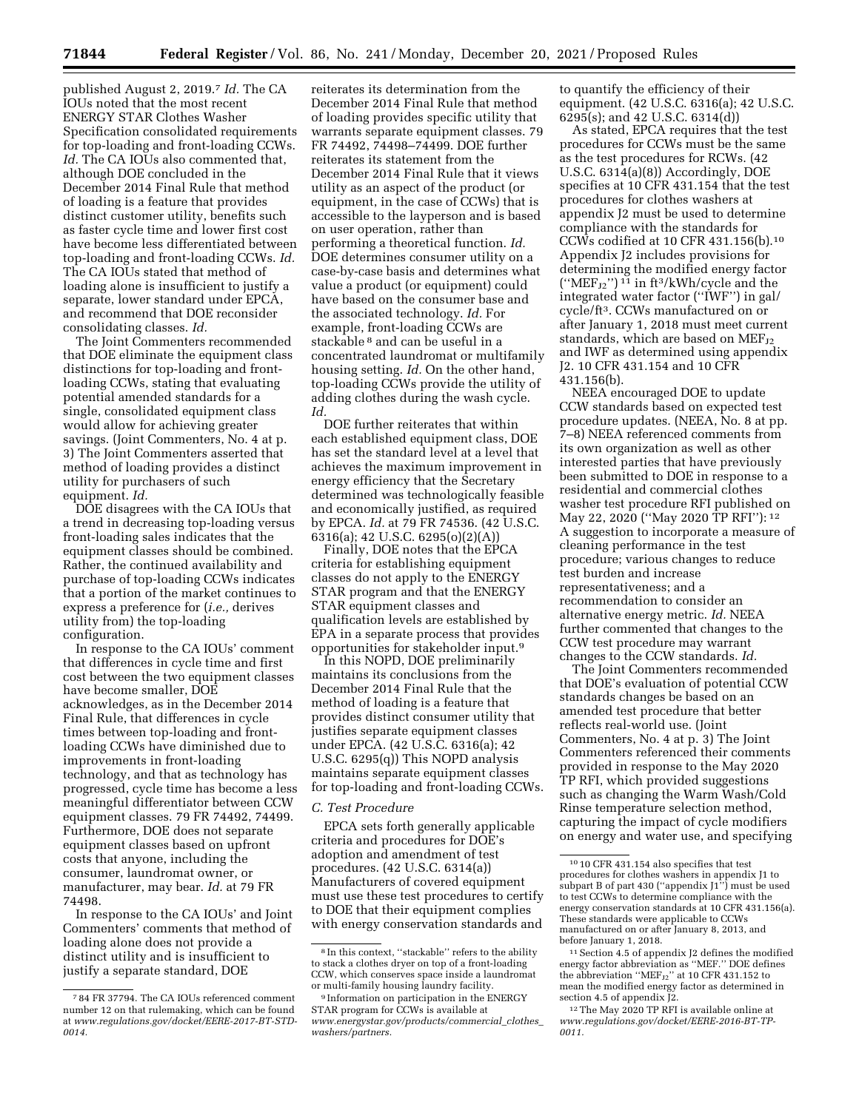published August 2, 2019.7 *Id.* The CA IOUs noted that the most recent ENERGY STAR Clothes Washer Specification consolidated requirements for top-loading and front-loading CCWs. Id. The CA IOUs also commented that, although DOE concluded in the December 2014 Final Rule that method of loading is a feature that provides distinct customer utility, benefits such as faster cycle time and lower first cost have become less differentiated between top-loading and front-loading CCWs. *Id.*  The CA IOUs stated that method of loading alone is insufficient to justify a separate, lower standard under EPCA, and recommend that DOE reconsider consolidating classes. *Id.* 

The Joint Commenters recommended that DOE eliminate the equipment class distinctions for top-loading and frontloading CCWs, stating that evaluating potential amended standards for a single, consolidated equipment class would allow for achieving greater savings. (Joint Commenters, No. 4 at p. 3) The Joint Commenters asserted that method of loading provides a distinct utility for purchasers of such equipment. *Id.* 

DOE disagrees with the CA IOUs that a trend in decreasing top-loading versus front-loading sales indicates that the equipment classes should be combined. Rather, the continued availability and purchase of top-loading CCWs indicates that a portion of the market continues to express a preference for (*i.e.,* derives utility from) the top-loading configuration.

In response to the CA IOUs' comment that differences in cycle time and first cost between the two equipment classes have become smaller, DOE acknowledges, as in the December 2014 Final Rule, that differences in cycle times between top-loading and frontloading CCWs have diminished due to improvements in front-loading technology, and that as technology has progressed, cycle time has become a less meaningful differentiator between CCW equipment classes. 79 FR 74492, 74499. Furthermore, DOE does not separate equipment classes based on upfront costs that anyone, including the consumer, laundromat owner, or manufacturer, may bear. *Id.* at 79 FR 74498.

In response to the CA IOUs' and Joint Commenters' comments that method of loading alone does not provide a distinct utility and is insufficient to justify a separate standard, DOE

reiterates its determination from the December 2014 Final Rule that method of loading provides specific utility that warrants separate equipment classes. 79 FR 74492, 74498–74499. DOE further reiterates its statement from the December 2014 Final Rule that it views utility as an aspect of the product (or equipment, in the case of CCWs) that is accessible to the layperson and is based on user operation, rather than performing a theoretical function. *Id.*  DOE determines consumer utility on a case-by-case basis and determines what value a product (or equipment) could have based on the consumer base and the associated technology. *Id.* For example, front-loading CCWs are stackable 8 and can be useful in a concentrated laundromat or multifamily housing setting. *Id.* On the other hand, top-loading CCWs provide the utility of adding clothes during the wash cycle. *Id.* 

DOE further reiterates that within each established equipment class, DOE has set the standard level at a level that achieves the maximum improvement in energy efficiency that the Secretary determined was technologically feasible and economically justified, as required by EPCA. *Id.* at 79 FR 74536. (42 U.S.C. 6316(a); 42 U.S.C. 6295(o)(2)(A))

Finally, DOE notes that the EPCA criteria for establishing equipment classes do not apply to the ENERGY STAR program and that the ENERGY STAR equipment classes and qualification levels are established by EPA in a separate process that provides opportunities for stakeholder input.9

In this NOPD, DOE preliminarily maintains its conclusions from the December 2014 Final Rule that the method of loading is a feature that provides distinct consumer utility that justifies separate equipment classes under EPCA. (42 U.S.C. 6316(a); 42 U.S.C. 6295(q)) This NOPD analysis maintains separate equipment classes for top-loading and front-loading CCWs.

#### *C. Test Procedure*

EPCA sets forth generally applicable criteria and procedures for DOE's adoption and amendment of test procedures. (42 U.S.C. 6314(a)) Manufacturers of covered equipment must use these test procedures to certify to DOE that their equipment complies with energy conservation standards and

to quantify the efficiency of their equipment. (42 U.S.C. 6316(a); 42 U.S.C. 6295(s); and 42 U.S.C. 6314(d))

As stated, EPCA requires that the test procedures for CCWs must be the same as the test procedures for RCWs. (42 U.S.C. 6314(a)(8)) Accordingly, DOE specifies at 10 CFR 431.154 that the test procedures for clothes washers at appendix J2 must be used to determine compliance with the standards for CCWs codified at 10 CFR 431.156(b).10 Appendix J2 includes provisions for determining the modified energy factor  $("MEF_{J2}"')$ <sup>11</sup> in ft<sup>3</sup>/kWh/cycle and the integrated water factor (''IWF'') in gal/ cycle/ft3. CCWs manufactured on or after January 1, 2018 must meet current standards, which are based on  $MEF_{J2}$ and IWF as determined using appendix J2. 10 CFR 431.154 and 10 CFR 431.156(b).

NEEA encouraged DOE to update CCW standards based on expected test procedure updates. (NEEA, No. 8 at pp. 7–8) NEEA referenced comments from its own organization as well as other interested parties that have previously been submitted to DOE in response to a residential and commercial clothes washer test procedure RFI published on May 22, 2020 (''May 2020 TP RFI''): 12 A suggestion to incorporate a measure of cleaning performance in the test procedure; various changes to reduce test burden and increase representativeness; and a recommendation to consider an alternative energy metric. *Id.* NEEA further commented that changes to the CCW test procedure may warrant changes to the CCW standards. *Id.* 

The Joint Commenters recommended that DOE's evaluation of potential CCW standards changes be based on an amended test procedure that better reflects real-world use. (Joint Commenters, No. 4 at p. 3) The Joint Commenters referenced their comments provided in response to the May 2020 TP RFI, which provided suggestions such as changing the Warm Wash/Cold Rinse temperature selection method, capturing the impact of cycle modifiers on energy and water use, and specifying

<sup>7</sup> 84 FR 37794. The CA IOUs referenced comment number 12 on that rulemaking, which can be found at *[www.regulations.gov/docket/EERE-2017-BT-STD-](http://www.regulations.gov/docket/EERE-2017-BT-STD-0014)[0014.](http://www.regulations.gov/docket/EERE-2017-BT-STD-0014)* 

<sup>8</sup> In this context, ''stackable'' refers to the ability to stack a clothes dryer on top of a front-loading CCW, which conserves space inside a laundromat or multi-family housing laundry facility.

<sup>9</sup> Information on participation in the ENERGY STAR program for CCWs is available at *[www.energystar.gov/products/commercial](http://www.energystar.gov/products/commercial_clothes_washers/partners)*\_*clothes*\_ *[washers/partners.](http://www.energystar.gov/products/commercial_clothes_washers/partners)* 

<sup>10</sup> 10 CFR 431.154 also specifies that test procedures for clothes washers in appendix J1 to subpart B of part 430 (''appendix J1'') must be used to test CCWs to determine compliance with the energy conservation standards at 10 CFR 431.156(a). These standards were applicable to CCWs manufactured on or after January 8, 2013, and before January 1, 2018.

<sup>11</sup>Section 4.5 of appendix J2 defines the modified energy factor abbreviation as ''MEF.'' DOE defines the abbreviation " $MEF_{J2}$ " at 10 CFR 431.152 to mean the modified energy factor as determined in section 4.5 of appendix J2.

<sup>&</sup>lt;sup>12</sup>The May 2020 TP RFI is available online at *[www.regulations.gov/docket/EERE-2016-BT-TP-](http://www.regulations.gov/docket/EERE-2016-BT-TP-0011)[0011.](http://www.regulations.gov/docket/EERE-2016-BT-TP-0011)*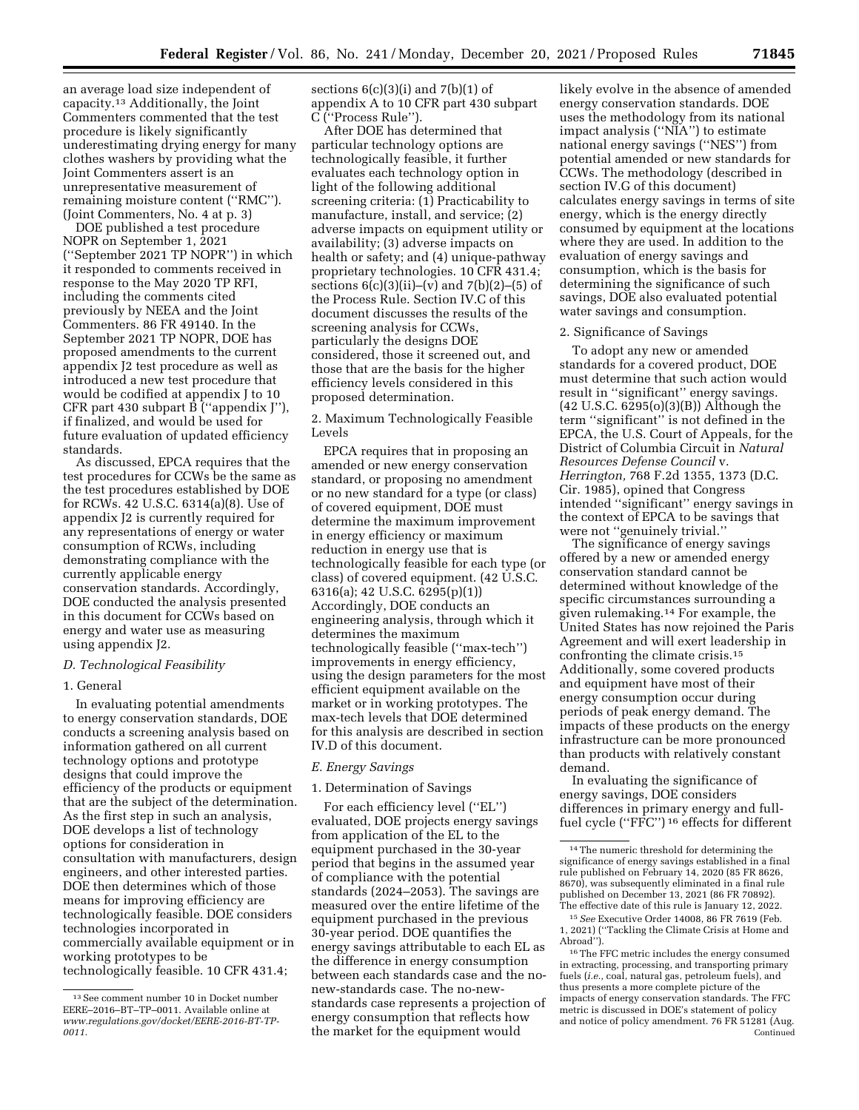an average load size independent of capacity.13 Additionally, the Joint Commenters commented that the test procedure is likely significantly underestimating drying energy for many clothes washers by providing what the Joint Commenters assert is an unrepresentative measurement of remaining moisture content (''RMC''). (Joint Commenters, No. 4 at p. 3)

DOE published a test procedure NOPR on September 1, 2021 (''September 2021 TP NOPR'') in which it responded to comments received in response to the May 2020 TP RFI, including the comments cited previously by NEEA and the Joint Commenters. 86 FR 49140. In the September 2021 TP NOPR, DOE has proposed amendments to the current appendix J2 test procedure as well as introduced a new test procedure that would be codified at appendix J to 10 CFR part 430 subpart B (''appendix J''), if finalized, and would be used for future evaluation of updated efficiency standards.

As discussed, EPCA requires that the test procedures for CCWs be the same as the test procedures established by DOE for RCWs. 42 U.S.C. 6314(a)(8). Use of appendix J2 is currently required for any representations of energy or water consumption of RCWs, including demonstrating compliance with the currently applicable energy conservation standards. Accordingly, DOE conducted the analysis presented in this document for CCWs based on energy and water use as measuring using appendix J2.

# *D. Technological Feasibility*

# 1. General

In evaluating potential amendments to energy conservation standards, DOE conducts a screening analysis based on information gathered on all current technology options and prototype designs that could improve the efficiency of the products or equipment that are the subject of the determination. As the first step in such an analysis, DOE develops a list of technology options for consideration in consultation with manufacturers, design engineers, and other interested parties. DOE then determines which of those means for improving efficiency are technologically feasible. DOE considers technologies incorporated in commercially available equipment or in working prototypes to be technologically feasible. 10 CFR 431.4;

sections  $6(c)(3)(i)$  and  $7(b)(1)$  of appendix A to 10 CFR part 430 subpart C (''Process Rule'').

After DOE has determined that particular technology options are technologically feasible, it further evaluates each technology option in light of the following additional screening criteria: (1) Practicability to manufacture, install, and service; (2) adverse impacts on equipment utility or availability; (3) adverse impacts on health or safety; and (4) unique-pathway proprietary technologies. 10 CFR 431.4; sections  $6(c)(3)(ii)$ –(v) and  $7(b)(2)$ –(5) of the Process Rule. Section IV.C of this document discusses the results of the screening analysis for CCWs, particularly the designs DOE considered, those it screened out, and those that are the basis for the higher efficiency levels considered in this proposed determination.

2. Maximum Technologically Feasible Levels

EPCA requires that in proposing an amended or new energy conservation standard, or proposing no amendment or no new standard for a type (or class) of covered equipment, DOE must determine the maximum improvement in energy efficiency or maximum reduction in energy use that is technologically feasible for each type (or class) of covered equipment. (42 U.S.C. 6316(a); 42 U.S.C. 6295(p)(1)) Accordingly, DOE conducts an engineering analysis, through which it determines the maximum technologically feasible (''max-tech'') improvements in energy efficiency, using the design parameters for the most efficient equipment available on the market or in working prototypes. The max-tech levels that DOE determined for this analysis are described in section IV.D of this document.

### *E. Energy Savings*

### 1. Determination of Savings

For each efficiency level (''EL'') evaluated, DOE projects energy savings from application of the EL to the equipment purchased in the 30-year period that begins in the assumed year of compliance with the potential standards (2024–2053). The savings are measured over the entire lifetime of the equipment purchased in the previous 30-year period. DOE quantifies the energy savings attributable to each EL as the difference in energy consumption between each standards case and the nonew-standards case. The no-newstandards case represents a projection of energy consumption that reflects how the market for the equipment would

likely evolve in the absence of amended energy conservation standards. DOE uses the methodology from its national impact analysis (''NIA'') to estimate national energy savings (''NES'') from potential amended or new standards for CCWs. The methodology (described in section IV.G of this document) calculates energy savings in terms of site energy, which is the energy directly consumed by equipment at the locations where they are used. In addition to the evaluation of energy savings and consumption, which is the basis for determining the significance of such savings, DOE also evaluated potential water savings and consumption.

### 2. Significance of Savings

To adopt any new or amended standards for a covered product, DOE must determine that such action would result in ''significant'' energy savings. (42 U.S.C. 6295(o)(3)(B)) Although the term ''significant'' is not defined in the EPCA, the U.S. Court of Appeals, for the District of Columbia Circuit in *Natural Resources Defense Council* v. *Herrington,* 768 F.2d 1355, 1373 (D.C. Cir. 1985), opined that Congress intended ''significant'' energy savings in the context of EPCA to be savings that were not ''genuinely trivial.''

The significance of energy savings offered by a new or amended energy conservation standard cannot be determined without knowledge of the specific circumstances surrounding a given rulemaking.14 For example, the United States has now rejoined the Paris Agreement and will exert leadership in confronting the climate crisis.15 Additionally, some covered products and equipment have most of their energy consumption occur during periods of peak energy demand. The impacts of these products on the energy infrastructure can be more pronounced than products with relatively constant demand.

In evaluating the significance of energy savings, DOE considers differences in primary energy and fullfuel cycle (''FFC'') 16 effects for different

<sup>13</sup>See comment number 10 in Docket number EERE–2016–BT–TP–0011. Available online at *[www.regulations.gov/docket/EERE-2016-BT-TP-](http://www.regulations.gov/docket/EERE-2016-BT-TP-0011)[0011.](http://www.regulations.gov/docket/EERE-2016-BT-TP-0011)* 

<sup>14</sup>The numeric threshold for determining the significance of energy savings established in a final rule published on February 14, 2020 (85 FR 8626, 8670), was subsequently eliminated in a final rule published on December 13, 2021 (86 FR 70892). The effective date of this rule is January 12, 2022.

<sup>15</sup>*See* Executive Order 14008, 86 FR 7619 (Feb. 1, 2021) (''Tackling the Climate Crisis at Home and Abroad'').

<sup>16</sup>The FFC metric includes the energy consumed in extracting, processing, and transporting primary fuels (*i.e.,* coal, natural gas, petroleum fuels), and thus presents a more complete picture of the impacts of energy conservation standards. The FFC metric is discussed in DOE's statement of policy and notice of policy amendment. 76 FR 51281 (Aug. Continued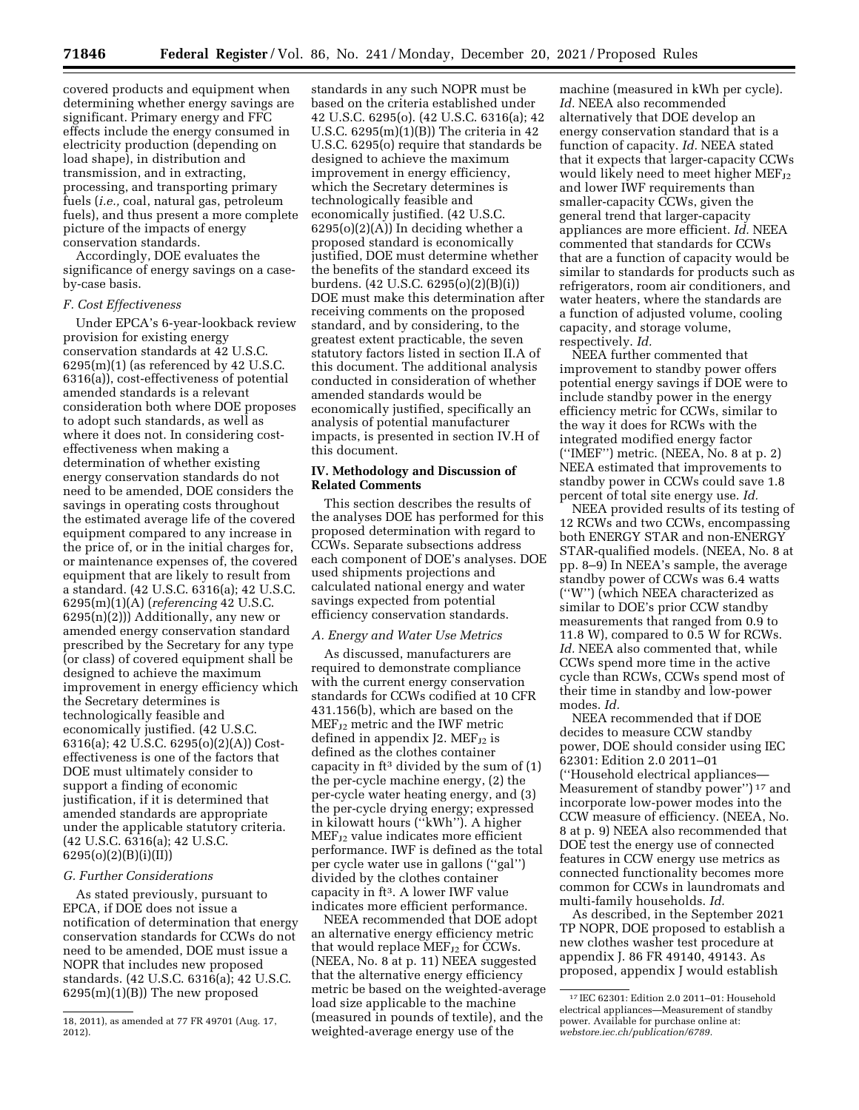covered products and equipment when determining whether energy savings are significant. Primary energy and FFC effects include the energy consumed in electricity production (depending on load shape), in distribution and transmission, and in extracting, processing, and transporting primary fuels (*i.e.,* coal, natural gas, petroleum fuels), and thus present a more complete picture of the impacts of energy conservation standards.

Accordingly, DOE evaluates the significance of energy savings on a caseby-case basis.

### *F. Cost Effectiveness*

Under EPCA's 6-year-lookback review provision for existing energy conservation standards at 42 U.S.C.  $6295(m)(1)$  (as referenced by 42 U.S.C. 6316(a)), cost-effectiveness of potential amended standards is a relevant consideration both where DOE proposes to adopt such standards, as well as where it does not. In considering costeffectiveness when making a determination of whether existing energy conservation standards do not need to be amended, DOE considers the savings in operating costs throughout the estimated average life of the covered equipment compared to any increase in the price of, or in the initial charges for, or maintenance expenses of, the covered equipment that are likely to result from a standard. (42 U.S.C. 6316(a); 42 U.S.C. 6295(m)(1)(A) (*referencing* 42 U.S.C. 6295(n)(2))) Additionally, any new or amended energy conservation standard prescribed by the Secretary for any type (or class) of covered equipment shall be designed to achieve the maximum improvement in energy efficiency which the Secretary determines is technologically feasible and economically justified. (42 U.S.C. 6316(a); 42 U.S.C. 6295(o)(2)(A)) Costeffectiveness is one of the factors that DOE must ultimately consider to support a finding of economic justification, if it is determined that amended standards are appropriate under the applicable statutory criteria. (42 U.S.C. 6316(a); 42 U.S.C. 6295(o)(2)(B)(i)(II))

# *G. Further Considerations*

As stated previously, pursuant to EPCA, if DOE does not issue a notification of determination that energy conservation standards for CCWs do not need to be amended, DOE must issue a NOPR that includes new proposed standards. (42 U.S.C. 6316(a); 42 U.S.C. 6295(m)(1)(B)) The new proposed

standards in any such NOPR must be based on the criteria established under 42 U.S.C. 6295(o). (42 U.S.C. 6316(a); 42 U.S.C. 6295(m)(1)(B)) The criteria in 42 U.S.C. 6295(o) require that standards be designed to achieve the maximum improvement in energy efficiency, which the Secretary determines is technologically feasible and economically justified. (42 U.S.C.  $6295(o)(2)(A)$  In deciding whether a proposed standard is economically justified, DOE must determine whether the benefits of the standard exceed its burdens. (42 U.S.C. 6295(o)(2)(B)(i)) DOE must make this determination after receiving comments on the proposed standard, and by considering, to the greatest extent practicable, the seven statutory factors listed in section II.A of this document. The additional analysis conducted in consideration of whether amended standards would be economically justified, specifically an analysis of potential manufacturer impacts, is presented in section IV.H of this document.

# **IV. Methodology and Discussion of Related Comments**

This section describes the results of the analyses DOE has performed for this proposed determination with regard to CCWs. Separate subsections address each component of DOE's analyses. DOE used shipments projections and calculated national energy and water savings expected from potential efficiency conservation standards.

### *A. Energy and Water Use Metrics*

As discussed, manufacturers are required to demonstrate compliance with the current energy conservation standards for CCWs codified at 10 CFR 431.156(b), which are based on the MEF<sub>J2</sub> metric and the IWF metric defined in appendix  $J2$ . MEF<sub>J2</sub> is defined as the clothes container capacity in  $ft^3$  divided by the sum of  $(1)$ the per-cycle machine energy, (2) the per-cycle water heating energy, and (3) the per-cycle drying energy; expressed in kilowatt hours (''kWh''). A higher  $MEF_{J2}$  value indicates more efficient performance. IWF is defined as the total per cycle water use in gallons (''gal'') divided by the clothes container capacity in ft3. A lower IWF value indicates more efficient performance.

NEEA recommended that DOE adopt an alternative energy efficiency metric that would replace MEF<sub>J2</sub> for CCWs. (NEEA, No. 8 at p. 11) NEEA suggested that the alternative energy efficiency metric be based on the weighted-average load size applicable to the machine (measured in pounds of textile), and the weighted-average energy use of the

machine (measured in kWh per cycle). *Id.* NEEA also recommended alternatively that DOE develop an energy conservation standard that is a function of capacity. *Id.* NEEA stated that it expects that larger-capacity CCWs would likely need to meet higher  $MEF_{12}$ and lower IWF requirements than smaller-capacity CCWs, given the general trend that larger-capacity appliances are more efficient. *Id.* NEEA commented that standards for CCWs that are a function of capacity would be similar to standards for products such as refrigerators, room air conditioners, and water heaters, where the standards are a function of adjusted volume, cooling capacity, and storage volume, respectively. *Id.* 

NEEA further commented that improvement to standby power offers potential energy savings if DOE were to include standby power in the energy efficiency metric for CCWs, similar to the way it does for RCWs with the integrated modified energy factor (''IMEF'') metric. (NEEA, No. 8 at p. 2) NEEA estimated that improvements to standby power in CCWs could save 1.8 percent of total site energy use. *Id.* 

NEEA provided results of its testing of 12 RCWs and two CCWs, encompassing both ENERGY STAR and non-ENERGY STAR-qualified models. (NEEA, No. 8 at pp. 8–9) In NEEA's sample, the average standby power of CCWs was 6.4 watts (''W'') (which NEEA characterized as similar to DOE's prior CCW standby measurements that ranged from 0.9 to 11.8 W), compared to 0.5 W for RCWs. *Id.* NEEA also commented that, while CCWs spend more time in the active cycle than RCWs, CCWs spend most of their time in standby and low-power modes. *Id.* 

NEEA recommended that if DOE decides to measure CCW standby power, DOE should consider using IEC 62301: Edition 2.0 2011–01 (''Household electrical appliances— Measurement of standby power'') 17 and incorporate low-power modes into the CCW measure of efficiency. (NEEA, No. 8 at p. 9) NEEA also recommended that DOE test the energy use of connected features in CCW energy use metrics as connected functionality becomes more common for CCWs in laundromats and multi-family households. *Id.* 

As described, in the September 2021 TP NOPR, DOE proposed to establish a new clothes washer test procedure at appendix J. 86 FR 49140, 49143. As proposed, appendix J would establish

<sup>18, 2011),</sup> as amended at 77 FR 49701 (Aug. 17, 2012).

<sup>17</sup> IEC 62301: Edition 2.0 2011–01: Household electrical appliances—Measurement of standby power. Available for purchase online at: *webstore.iec.ch/publication/6789.*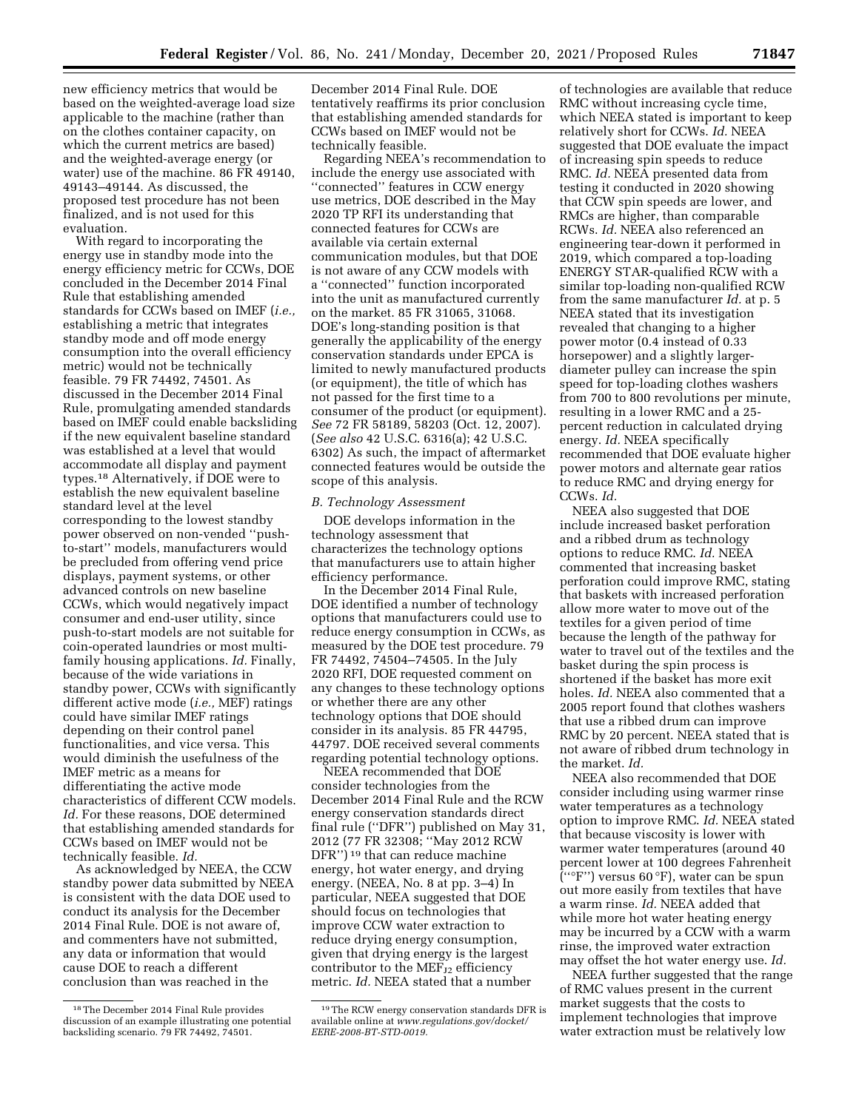new efficiency metrics that would be based on the weighted-average load size applicable to the machine (rather than on the clothes container capacity, on which the current metrics are based) and the weighted-average energy (or water) use of the machine. 86 FR 49140, 49143–49144. As discussed, the proposed test procedure has not been finalized, and is not used for this evaluation.

With regard to incorporating the energy use in standby mode into the energy efficiency metric for CCWs, DOE concluded in the December 2014 Final Rule that establishing amended standards for CCWs based on IMEF (*i.e.,*  establishing a metric that integrates standby mode and off mode energy consumption into the overall efficiency metric) would not be technically feasible. 79 FR 74492, 74501. As discussed in the December 2014 Final Rule, promulgating amended standards based on IMEF could enable backsliding if the new equivalent baseline standard was established at a level that would accommodate all display and payment types.18 Alternatively, if DOE were to establish the new equivalent baseline standard level at the level corresponding to the lowest standby power observed on non-vended ''pushto-start'' models, manufacturers would be precluded from offering vend price displays, payment systems, or other advanced controls on new baseline CCWs, which would negatively impact consumer and end-user utility, since push-to-start models are not suitable for coin-operated laundries or most multifamily housing applications. *Id.* Finally, because of the wide variations in standby power, CCWs with significantly different active mode (*i.e.,* MEF) ratings could have similar IMEF ratings depending on their control panel functionalities, and vice versa. This would diminish the usefulness of the IMEF metric as a means for differentiating the active mode characteristics of different CCW models. *Id.* For these reasons, DOE determined that establishing amended standards for CCWs based on IMEF would not be technically feasible. *Id.* 

As acknowledged by NEEA, the CCW standby power data submitted by NEEA is consistent with the data DOE used to conduct its analysis for the December 2014 Final Rule. DOE is not aware of, and commenters have not submitted, any data or information that would cause DOE to reach a different conclusion than was reached in the

December 2014 Final Rule. DOE tentatively reaffirms its prior conclusion that establishing amended standards for CCWs based on IMEF would not be technically feasible.

Regarding NEEA's recommendation to include the energy use associated with ''connected'' features in CCW energy use metrics, DOE described in the May 2020 TP RFI its understanding that connected features for CCWs are available via certain external communication modules, but that DOE is not aware of any CCW models with a ''connected'' function incorporated into the unit as manufactured currently on the market. 85 FR 31065, 31068. DOE's long-standing position is that generally the applicability of the energy conservation standards under EPCA is limited to newly manufactured products (or equipment), the title of which has not passed for the first time to a consumer of the product (or equipment). *See* 72 FR 58189, 58203 (Oct. 12, 2007). (*See also* 42 U.S.C. 6316(a); 42 U.S.C. 6302) As such, the impact of aftermarket connected features would be outside the scope of this analysis.

### *B. Technology Assessment*

DOE develops information in the technology assessment that characterizes the technology options that manufacturers use to attain higher efficiency performance.

In the December 2014 Final Rule, DOE identified a number of technology options that manufacturers could use to reduce energy consumption in CCWs, as measured by the DOE test procedure. 79 FR 74492, 74504–74505. In the July 2020 RFI, DOE requested comment on any changes to these technology options or whether there are any other technology options that DOE should consider in its analysis. 85 FR 44795, 44797. DOE received several comments regarding potential technology options.

NEEA recommended that DOE consider technologies from the December 2014 Final Rule and the RCW energy conservation standards direct final rule (''DFR'') published on May 31, 2012 (77 FR 32308; ''May 2012 RCW DFR'') 19 that can reduce machine energy, hot water energy, and drying energy. (NEEA, No. 8 at pp. 3–4) In particular, NEEA suggested that DOE should focus on technologies that improve CCW water extraction to reduce drying energy consumption, given that drying energy is the largest contributor to the  $MEF_{J2}$  efficiency metric. *Id.* NEEA stated that a number

of technologies are available that reduce RMC without increasing cycle time, which NEEA stated is important to keep relatively short for CCWs. *Id.* NEEA suggested that DOE evaluate the impact of increasing spin speeds to reduce RMC. *Id.* NEEA presented data from testing it conducted in 2020 showing that CCW spin speeds are lower, and RMCs are higher, than comparable RCWs. *Id.* NEEA also referenced an engineering tear-down it performed in 2019, which compared a top-loading ENERGY STAR-qualified RCW with a similar top-loading non-qualified RCW from the same manufacturer *Id.* at p. 5 NEEA stated that its investigation revealed that changing to a higher power motor (0.4 instead of 0.33 horsepower) and a slightly largerdiameter pulley can increase the spin speed for top-loading clothes washers from 700 to 800 revolutions per minute, resulting in a lower RMC and a 25 percent reduction in calculated drying energy. *Id.* NEEA specifically recommended that DOE evaluate higher power motors and alternate gear ratios to reduce RMC and drying energy for CCWs. *Id.* 

NEEA also suggested that DOE include increased basket perforation and a ribbed drum as technology options to reduce RMC. *Id.* NEEA commented that increasing basket perforation could improve RMC, stating that baskets with increased perforation allow more water to move out of the textiles for a given period of time because the length of the pathway for water to travel out of the textiles and the basket during the spin process is shortened if the basket has more exit holes. *Id.* NEEA also commented that a 2005 report found that clothes washers that use a ribbed drum can improve RMC by 20 percent. NEEA stated that is not aware of ribbed drum technology in the market. *Id.* 

NEEA also recommended that DOE consider including using warmer rinse water temperatures as a technology option to improve RMC. *Id.* NEEA stated that because viscosity is lower with warmer water temperatures (around 40 percent lower at 100 degrees Fahrenheit  $\bar{C}$ <sup>("</sup>F") versus 60 °F), water can be spun out more easily from textiles that have a warm rinse. *Id.* NEEA added that while more hot water heating energy may be incurred by a CCW with a warm rinse, the improved water extraction may offset the hot water energy use. *Id.* 

NEEA further suggested that the range of RMC values present in the current market suggests that the costs to implement technologies that improve water extraction must be relatively low

<sup>18</sup>The December 2014 Final Rule provides discussion of an example illustrating one potential backsliding scenario. 79 FR 74492, 74501.

<sup>19</sup>The RCW energy conservation standards DFR is available online at *[www.regulations.gov/docket/](http://www.regulations.gov/docket/EERE-2008-BT-STD-0019)  [EERE-2008-BT-STD-0019.](http://www.regulations.gov/docket/EERE-2008-BT-STD-0019)*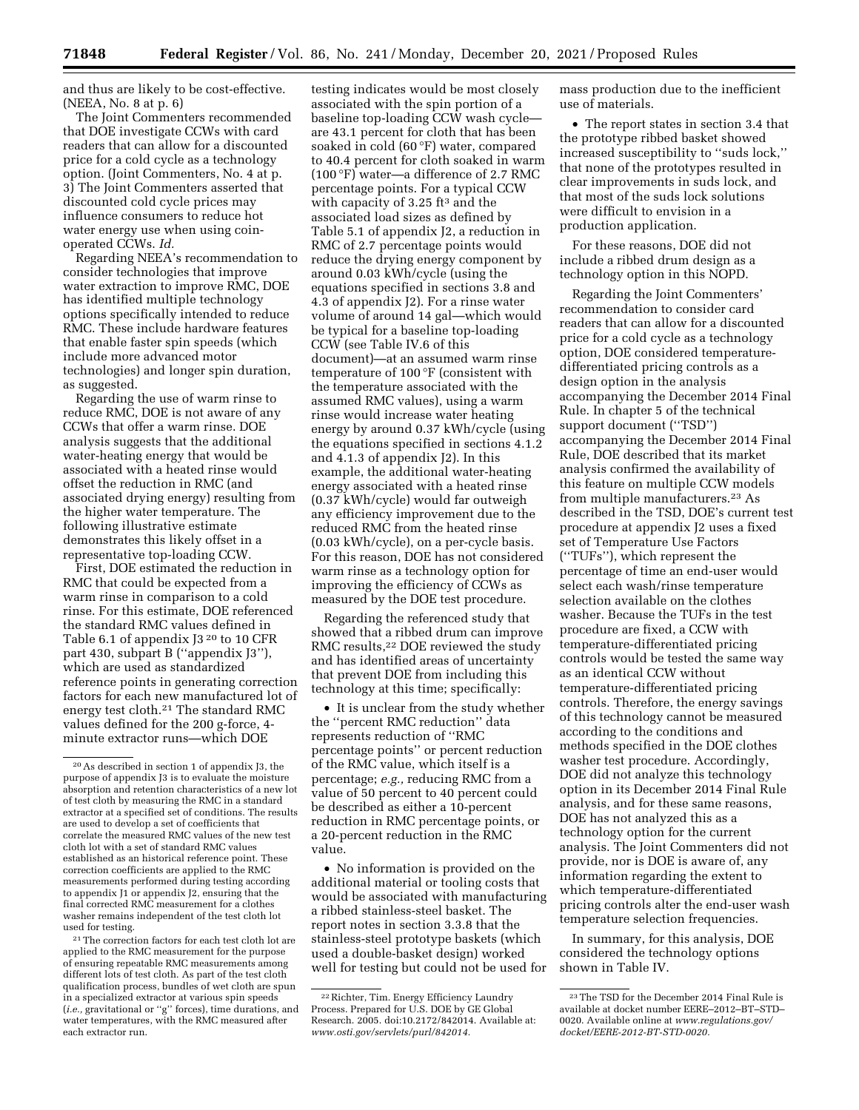and thus are likely to be cost-effective. (NEEA, No. 8 at p. 6)

The Joint Commenters recommended that DOE investigate CCWs with card readers that can allow for a discounted price for a cold cycle as a technology option. (Joint Commenters, No. 4 at p. 3) The Joint Commenters asserted that discounted cold cycle prices may influence consumers to reduce hot water energy use when using coinoperated CCWs. *Id.* 

Regarding NEEA's recommendation to consider technologies that improve water extraction to improve RMC, DOE has identified multiple technology options specifically intended to reduce RMC. These include hardware features that enable faster spin speeds (which include more advanced motor technologies) and longer spin duration, as suggested.

Regarding the use of warm rinse to reduce RMC, DOE is not aware of any CCWs that offer a warm rinse. DOE analysis suggests that the additional water-heating energy that would be associated with a heated rinse would offset the reduction in RMC (and associated drying energy) resulting from the higher water temperature. The following illustrative estimate demonstrates this likely offset in a representative top-loading CCW.

First, DOE estimated the reduction in RMC that could be expected from a warm rinse in comparison to a cold rinse. For this estimate, DOE referenced the standard RMC values defined in Table 6.1 of appendix J3<sup>20</sup> to 10 CFR part 430, subpart B (''appendix J3''), which are used as standardized reference points in generating correction factors for each new manufactured lot of energy test cloth.21 The standard RMC values defined for the 200 g-force, 4 minute extractor runs—which DOE

21The correction factors for each test cloth lot are applied to the RMC measurement for the purpose of ensuring repeatable RMC measurements among different lots of test cloth. As part of the test cloth qualification process, bundles of wet cloth are spun in a specialized extractor at various spin speeds (*i.e.,* gravitational or ''g'' forces), time durations, and water temperatures, with the RMC measured after each extractor run.

testing indicates would be most closely associated with the spin portion of a baseline top-loading CCW wash cycle are 43.1 percent for cloth that has been soaked in cold (60 °F) water, compared to 40.4 percent for cloth soaked in warm (100 °F) water—a difference of 2.7 RMC percentage points. For a typical CCW with capacity of  $3.25$  ft<sup>3</sup> and the associated load sizes as defined by Table 5.1 of appendix J2, a reduction in RMC of 2.7 percentage points would reduce the drying energy component by around 0.03 kWh/cycle (using the equations specified in sections 3.8 and 4.3 of appendix J2). For a rinse water volume of around 14 gal—which would be typical for a baseline top-loading CCW (see Table IV.6 of this document)—at an assumed warm rinse temperature of 100 °F (consistent with the temperature associated with the assumed RMC values), using a warm rinse would increase water heating energy by around 0.37 kWh/cycle (using the equations specified in sections 4.1.2 and 4.1.3 of appendix J2). In this example, the additional water-heating energy associated with a heated rinse (0.37 kWh/cycle) would far outweigh any efficiency improvement due to the reduced RMC from the heated rinse (0.03 kWh/cycle), on a per-cycle basis. For this reason, DOE has not considered warm rinse as a technology option for improving the efficiency of CCWs as measured by the DOE test procedure.

Regarding the referenced study that showed that a ribbed drum can improve RMC results,22 DOE reviewed the study and has identified areas of uncertainty that prevent DOE from including this technology at this time; specifically:

• It is unclear from the study whether the ''percent RMC reduction'' data represents reduction of ''RMC percentage points'' or percent reduction of the RMC value, which itself is a percentage; *e.g.,* reducing RMC from a value of 50 percent to 40 percent could be described as either a 10-percent reduction in RMC percentage points, or a 20-percent reduction in the RMC value.

• No information is provided on the additional material or tooling costs that would be associated with manufacturing a ribbed stainless-steel basket. The report notes in section 3.3.8 that the stainless-steel prototype baskets (which used a double-basket design) worked well for testing but could not be used for

mass production due to the inefficient use of materials.

• The report states in section 3.4 that the prototype ribbed basket showed increased susceptibility to ''suds lock,'' that none of the prototypes resulted in clear improvements in suds lock, and that most of the suds lock solutions were difficult to envision in a production application.

For these reasons, DOE did not include a ribbed drum design as a technology option in this NOPD.

Regarding the Joint Commenters' recommendation to consider card readers that can allow for a discounted price for a cold cycle as a technology option, DOE considered temperaturedifferentiated pricing controls as a design option in the analysis accompanying the December 2014 Final Rule. In chapter 5 of the technical support document (''TSD'') accompanying the December 2014 Final Rule, DOE described that its market analysis confirmed the availability of this feature on multiple CCW models from multiple manufacturers.23 As described in the TSD, DOE's current test procedure at appendix J2 uses a fixed set of Temperature Use Factors (''TUFs''), which represent the percentage of time an end-user would select each wash/rinse temperature selection available on the clothes washer. Because the TUFs in the test procedure are fixed, a CCW with temperature-differentiated pricing controls would be tested the same way as an identical CCW without temperature-differentiated pricing controls. Therefore, the energy savings of this technology cannot be measured according to the conditions and methods specified in the DOE clothes washer test procedure. Accordingly, DOE did not analyze this technology option in its December 2014 Final Rule analysis, and for these same reasons, DOE has not analyzed this as a technology option for the current analysis. The Joint Commenters did not provide, nor is DOE is aware of, any information regarding the extent to which temperature-differentiated pricing controls alter the end-user wash temperature selection frequencies.

In summary, for this analysis, DOE considered the technology options shown in Table IV.

<sup>20</sup>As described in section 1 of appendix J3, the purpose of appendix J3 is to evaluate the moisture absorption and retention characteristics of a new lot of test cloth by measuring the RMC in a standard extractor at a specified set of conditions. The results are used to develop a set of coefficients that correlate the measured RMC values of the new test cloth lot with a set of standard RMC values established as an historical reference point. These correction coefficients are applied to the RMC measurements performed during testing according to appendix J1 or appendix J2, ensuring that the final corrected RMC measurement for a clothes washer remains independent of the test cloth lot used for testing.

<sup>22</sup>Richter, Tim. Energy Efficiency Laundry Process. Prepared for U.S. DOE by GE Global Research. 2005. doi:10.2172/842014. Available at: *[www.osti.gov/servlets/purl/842014.](http://www.osti.gov/servlets/purl/842014)* 

<sup>23</sup>The TSD for the December 2014 Final Rule is available at docket number EERE–2012–BT–STD– 0020. Available online at *[www.regulations.gov/](http://www.regulations.gov/docket/EERE-2012-BT-STD-0020)  [docket/EERE-2012-BT-STD-0020.](http://www.regulations.gov/docket/EERE-2012-BT-STD-0020)*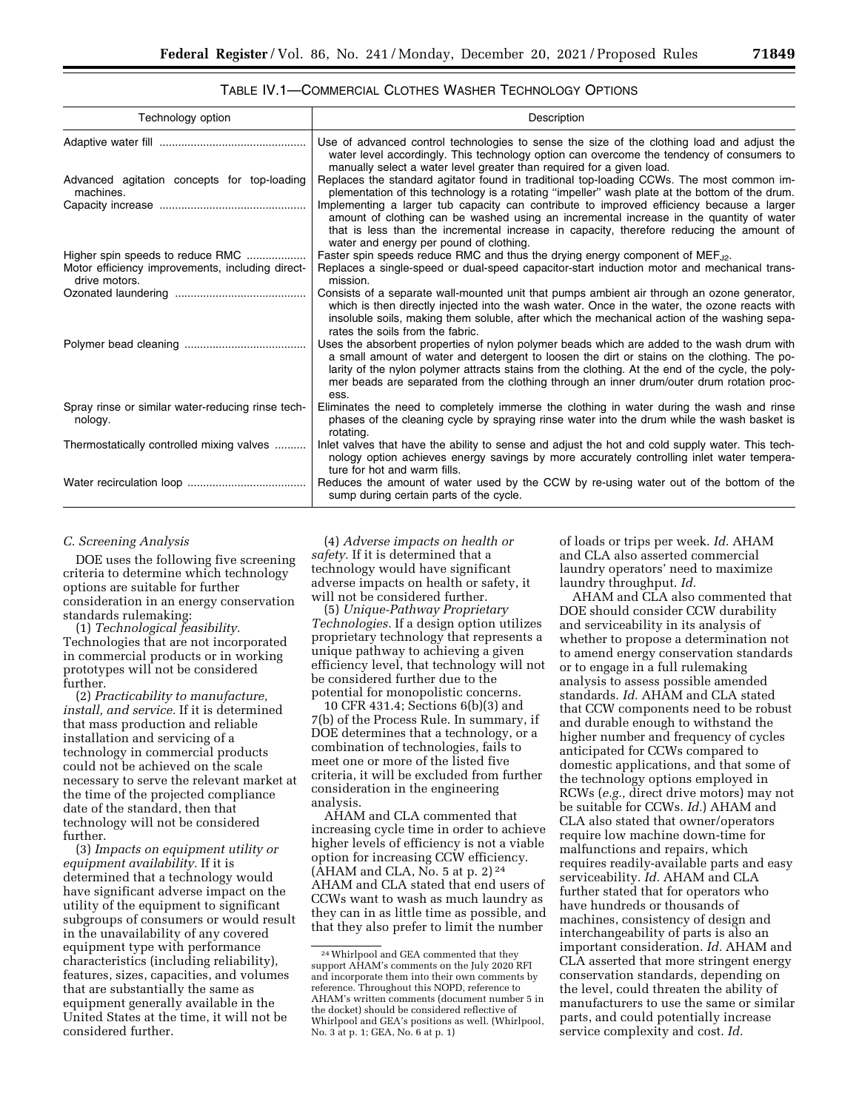# TABLE IV.1—COMMERCIAL CLOTHES WASHER TECHNOLOGY OPTIONS

| Technology option                                                 | Description                                                                                                                                                                                                                                                                                                                                                                                                                                                                                                                |
|-------------------------------------------------------------------|----------------------------------------------------------------------------------------------------------------------------------------------------------------------------------------------------------------------------------------------------------------------------------------------------------------------------------------------------------------------------------------------------------------------------------------------------------------------------------------------------------------------------|
|                                                                   | Use of advanced control technologies to sense the size of the clothing load and adjust the<br>water level accordingly. This technology option can overcome the tendency of consumers to<br>manually select a water level greater than required for a given load.                                                                                                                                                                                                                                                           |
| Advanced agitation concepts for top-loading<br>machines.          | Replaces the standard agitator found in traditional top-loading CCWs. The most common im-<br>plementation of this technology is a rotating "impeller" wash plate at the bottom of the drum.<br>Implementing a larger tub capacity can contribute to improved efficiency because a larger<br>amount of clothing can be washed using an incremental increase in the quantity of water<br>that is less than the incremental increase in capacity, therefore reducing the amount of<br>water and energy per pound of clothing. |
| Higher spin speeds to reduce RMC                                  | Faster spin speeds reduce RMC and thus the drying energy component of MEF <sub>J2</sub> .                                                                                                                                                                                                                                                                                                                                                                                                                                  |
| Motor efficiency improvements, including direct-<br>drive motors. | Replaces a single-speed or dual-speed capacitor-start induction motor and mechanical trans-<br>mission.                                                                                                                                                                                                                                                                                                                                                                                                                    |
|                                                                   | Consists of a separate wall-mounted unit that pumps ambient air through an ozone generator,<br>which is then directly injected into the wash water. Once in the water, the ozone reacts with<br>insoluble soils, making them soluble, after which the mechanical action of the washing sepa-<br>rates the soils from the fabric.                                                                                                                                                                                           |
|                                                                   | Uses the absorbent properties of nylon polymer beads which are added to the wash drum with<br>a small amount of water and detergent to loosen the dirt or stains on the clothing. The po-<br>larity of the nylon polymer attracts stains from the clothing. At the end of the cycle, the poly-<br>mer beads are separated from the clothing through an inner drum/outer drum rotation proc-<br>ess.                                                                                                                        |
| Spray rinse or similar water-reducing rinse tech-<br>nology.      | Eliminates the need to completely immerse the clothing in water during the wash and rinse<br>phases of the cleaning cycle by spraying rinse water into the drum while the wash basket is<br>rotating.                                                                                                                                                                                                                                                                                                                      |
| Thermostatically controlled mixing valves                         | Inlet valves that have the ability to sense and adjust the hot and cold supply water. This tech-<br>nology option achieves energy savings by more accurately controlling inlet water tempera-<br>ture for hot and warm fills.                                                                                                                                                                                                                                                                                              |
|                                                                   | Reduces the amount of water used by the CCW by re-using water out of the bottom of the<br>sump during certain parts of the cycle.                                                                                                                                                                                                                                                                                                                                                                                          |

#### *C. Screening Analysis*

DOE uses the following five screening criteria to determine which technology options are suitable for further consideration in an energy conservation standards rulemaking:

(1) *Technological feasibility.*  Technologies that are not incorporated in commercial products or in working prototypes will not be considered further.

(2) *Practicability to manufacture, install, and service.* If it is determined that mass production and reliable installation and servicing of a technology in commercial products could not be achieved on the scale necessary to serve the relevant market at the time of the projected compliance date of the standard, then that technology will not be considered further.

(3) *Impacts on equipment utility or equipment availability.* If it is determined that a technology would have significant adverse impact on the utility of the equipment to significant subgroups of consumers or would result in the unavailability of any covered equipment type with performance characteristics (including reliability), features, sizes, capacities, and volumes that are substantially the same as equipment generally available in the United States at the time, it will not be considered further.

(4) *Adverse impacts on health or safety.* If it is determined that a technology would have significant adverse impacts on health or safety, it will not be considered further.

(5) *Unique-Pathway Proprietary Technologies.* If a design option utilizes proprietary technology that represents a unique pathway to achieving a given efficiency level, that technology will not be considered further due to the potential for monopolistic concerns.

10 CFR 431.4; Sections 6(b)(3) and 7(b) of the Process Rule. In summary, if DOE determines that a technology, or a combination of technologies, fails to meet one or more of the listed five criteria, it will be excluded from further consideration in the engineering analysis.

AHAM and CLA commented that increasing cycle time in order to achieve higher levels of efficiency is not a viable option for increasing CCW efficiency. (AHAM and CLA, No. 5 at p. 2) $24$ AHAM and CLA stated that end users of CCWs want to wash as much laundry as they can in as little time as possible, and that they also prefer to limit the number

of loads or trips per week. *Id.* AHAM and CLA also asserted commercial laundry operators' need to maximize laundry throughput. *Id.* 

AHAM and CLA also commented that DOE should consider CCW durability and serviceability in its analysis of whether to propose a determination not to amend energy conservation standards or to engage in a full rulemaking analysis to assess possible amended standards. *Id.* AHAM and CLA stated that CCW components need to be robust and durable enough to withstand the higher number and frequency of cycles anticipated for CCWs compared to domestic applications, and that some of the technology options employed in RCWs (*e.g.,* direct drive motors) may not be suitable for CCWs. *Id.*) AHAM and CLA also stated that owner/operators require low machine down-time for malfunctions and repairs, which requires readily-available parts and easy serviceability. *Id.* AHAM and CLA further stated that for operators who have hundreds or thousands of machines, consistency of design and interchangeability of parts is also an important consideration. *Id.* AHAM and CLA asserted that more stringent energy conservation standards, depending on the level, could threaten the ability of manufacturers to use the same or similar parts, and could potentially increase service complexity and cost. *Id.* 

<sup>24</sup>Whirlpool and GEA commented that they support AHAM's comments on the July 2020 RFI and incorporate them into their own comments by reference. Throughout this NOPD, reference to AHAM's written comments (document number 5 in the docket) should be considered reflective of Whirlpool and GEA's positions as well. (Whirlpool, No. 3 at p. 1; GEA, No. 6 at p. 1)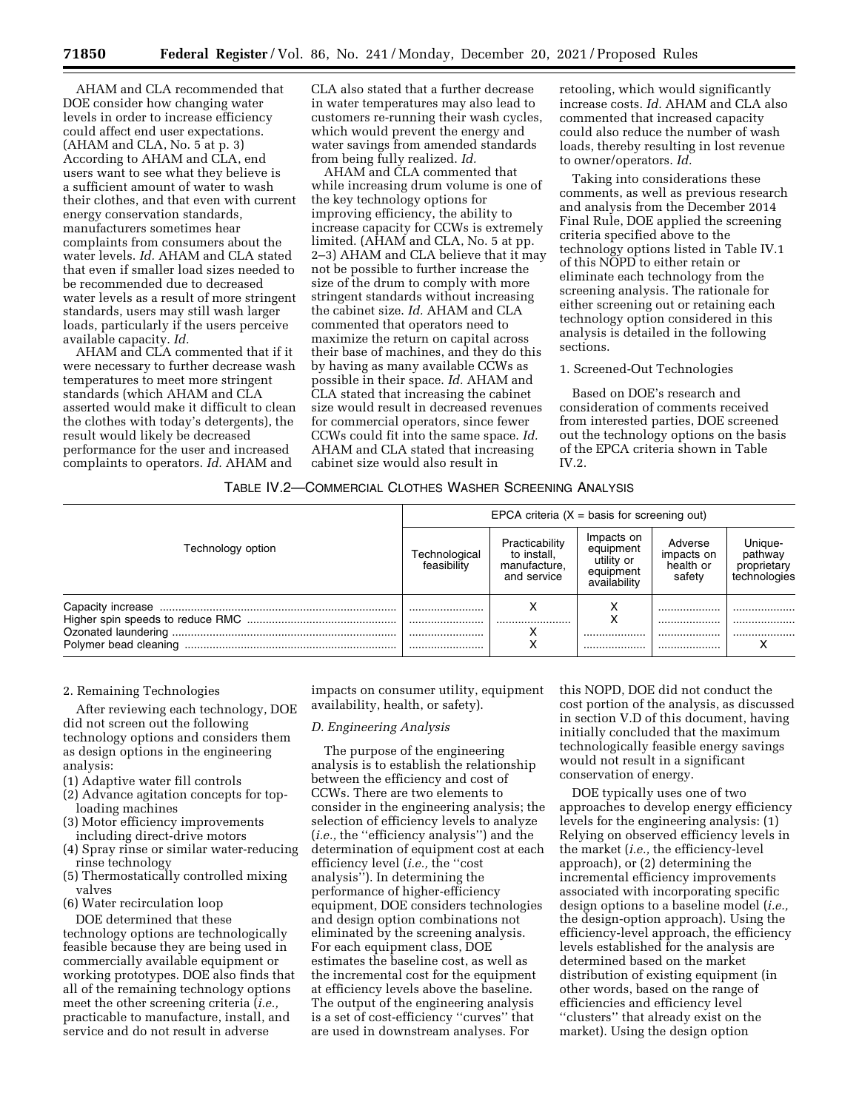AHAM and CLA recommended that DOE consider how changing water levels in order to increase efficiency could affect end user expectations. (AHAM and CLA, No. 5 at p. 3) According to AHAM and CLA, end users want to see what they believe is a sufficient amount of water to wash their clothes, and that even with current energy conservation standards, manufacturers sometimes hear complaints from consumers about the water levels. *Id.* AHAM and CLA stated that even if smaller load sizes needed to be recommended due to decreased water levels as a result of more stringent standards, users may still wash larger loads, particularly if the users perceive available capacity. *Id.* 

AHAM and CLA commented that if it were necessary to further decrease wash temperatures to meet more stringent standards (which AHAM and CLA asserted would make it difficult to clean the clothes with today's detergents), the result would likely be decreased performance for the user and increased complaints to operators. *Id.* AHAM and

CLA also stated that a further decrease in water temperatures may also lead to customers re-running their wash cycles, which would prevent the energy and water savings from amended standards from being fully realized. *Id.* 

AHAM and CLA commented that while increasing drum volume is one of the key technology options for improving efficiency, the ability to increase capacity for CCWs is extremely limited. (AHAM and CLA, No. 5 at pp. 2–3) AHAM and CLA believe that it may not be possible to further increase the size of the drum to comply with more stringent standards without increasing the cabinet size. *Id.* AHAM and CLA commented that operators need to maximize the return on capital across their base of machines, and they do this by having as many available CCWs as possible in their space. *Id.* AHAM and CLA stated that increasing the cabinet size would result in decreased revenues for commercial operators, since fewer CCWs could fit into the same space. *Id.*  AHAM and CLA stated that increasing cabinet size would also result in

retooling, which would significantly increase costs. *Id.* AHAM and CLA also commented that increased capacity could also reduce the number of wash loads, thereby resulting in lost revenue to owner/operators. *Id.* 

Taking into considerations these comments, as well as previous research and analysis from the December 2014 Final Rule, DOE applied the screening criteria specified above to the technology options listed in Table IV.1 of this NOPD to either retain or eliminate each technology from the screening analysis. The rationale for either screening out or retaining each technology option considered in this analysis is detailed in the following sections.

1. Screened-Out Technologies

Based on DOE's research and consideration of comments received from interested parties, DOE screened out the technology options on the basis of the EPCA criteria shown in Table IV.2.

# TABLE IV.2—COMMERCIAL CLOTHES WASHER SCREENING ANALYSIS

|                       | EPCA criteria $(X = basis for screening out)$ |                                                              |                                                                    |                                              |                                                   |  |  |
|-----------------------|-----------------------------------------------|--------------------------------------------------------------|--------------------------------------------------------------------|----------------------------------------------|---------------------------------------------------|--|--|
| Technology option     | Technological<br>feasibility                  | Practicability<br>to install,<br>manufacture,<br>and service | Impacts on<br>equipment<br>utility or<br>equipment<br>availability | Adverse<br>impacts on<br>health or<br>safety | Unique-<br>pathway<br>proprietary<br>technologies |  |  |
|                       | <br>                                          |                                                              | ⋏                                                                  | <br>                                         | <br>                                              |  |  |
| Polymer bead cleaning | <br>                                          |                                                              | <br>                                                               | <br>                                         |                                                   |  |  |

# 2. Remaining Technologies

After reviewing each technology, DOE did not screen out the following technology options and considers them as design options in the engineering analysis:

- (1) Adaptive water fill controls
- (2) Advance agitation concepts for toploading machines
- (3) Motor efficiency improvements including direct-drive motors
- (4) Spray rinse or similar water-reducing rinse technology
- (5) Thermostatically controlled mixing valves
- (6) Water recirculation loop

DOE determined that these technology options are technologically feasible because they are being used in commercially available equipment or working prototypes. DOE also finds that all of the remaining technology options meet the other screening criteria (*i.e.,*  practicable to manufacture, install, and service and do not result in adverse

impacts on consumer utility, equipment availability, health, or safety).

#### *D. Engineering Analysis*

The purpose of the engineering analysis is to establish the relationship between the efficiency and cost of CCWs. There are two elements to consider in the engineering analysis; the selection of efficiency levels to analyze (*i.e.,* the ''efficiency analysis'') and the determination of equipment cost at each efficiency level (*i.e.,* the ''cost analysis''). In determining the performance of higher-efficiency equipment, DOE considers technologies and design option combinations not eliminated by the screening analysis. For each equipment class, DOE estimates the baseline cost, as well as the incremental cost for the equipment at efficiency levels above the baseline. The output of the engineering analysis is a set of cost-efficiency ''curves'' that are used in downstream analyses. For

this NOPD, DOE did not conduct the cost portion of the analysis, as discussed in section V.D of this document, having initially concluded that the maximum technologically feasible energy savings would not result in a significant conservation of energy.

DOE typically uses one of two approaches to develop energy efficiency levels for the engineering analysis: (1) Relying on observed efficiency levels in the market (*i.e.,* the efficiency-level approach), or (2) determining the incremental efficiency improvements associated with incorporating specific design options to a baseline model (*i.e.,*  the design-option approach). Using the efficiency-level approach, the efficiency levels established for the analysis are determined based on the market distribution of existing equipment (in other words, based on the range of efficiencies and efficiency level ''clusters'' that already exist on the market). Using the design option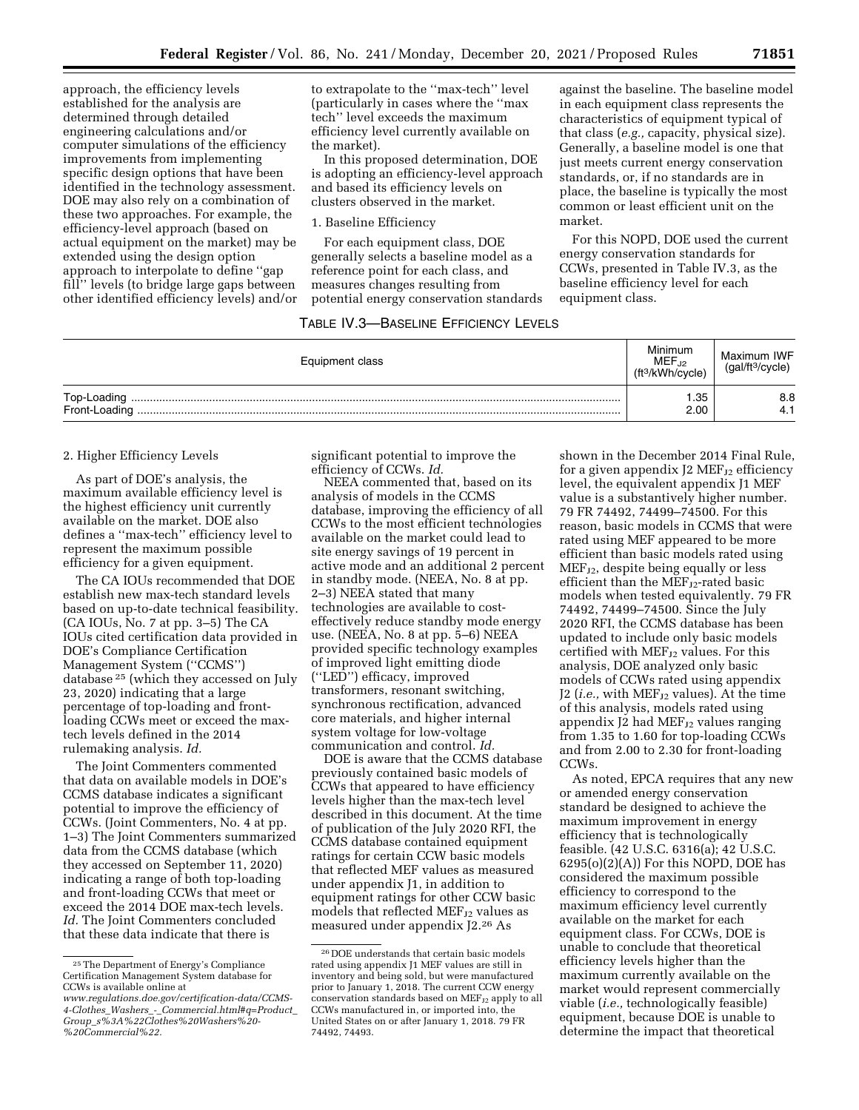approach, the efficiency levels established for the analysis are determined through detailed engineering calculations and/or computer simulations of the efficiency improvements from implementing specific design options that have been identified in the technology assessment. DOE may also rely on a combination of these two approaches. For example, the efficiency-level approach (based on actual equipment on the market) may be extended using the design option approach to interpolate to define ''gap fill'' levels (to bridge large gaps between other identified efficiency levels) and/or to extrapolate to the ''max-tech'' level (particularly in cases where the ''max tech'' level exceeds the maximum efficiency level currently available on the market).

In this proposed determination, DOE is adopting an efficiency-level approach and based its efficiency levels on clusters observed in the market.

### 1. Baseline Efficiency

For each equipment class, DOE generally selects a baseline model as a reference point for each class, and measures changes resulting from potential energy conservation standards

# TABLE IV.3—BASELINE EFFICIENCY LEVELS

against the baseline. The baseline model in each equipment class represents the characteristics of equipment typical of that class (*e.g.,* capacity, physical size). Generally, a baseline model is one that just meets current energy conservation standards, or, if no standards are in place, the baseline is typically the most common or least efficient unit on the market.

For this NOPD, DOE used the current energy conservation standards for CCWs, presented in Table IV.3, as the baseline efficiency level for each equipment class.

| Equipment class | Minimum<br>MEF.12<br>ft <sup>3</sup> /kWh/cycle) | Maximum IWF<br>(gal/ft <sup>3</sup> /cycle) |
|-----------------|--------------------------------------------------|---------------------------------------------|
| Top-Loading     | . .35<br>2.00                                    | 8.8<br>4.1                                  |

# 2. Higher Efficiency Levels

As part of DOE's analysis, the maximum available efficiency level is the highest efficiency unit currently available on the market. DOE also defines a ''max-tech'' efficiency level to represent the maximum possible efficiency for a given equipment.

The CA IOUs recommended that DOE establish new max-tech standard levels based on up-to-date technical feasibility. (CA IOUs, No. 7 at pp. 3–5) The CA IOUs cited certification data provided in DOE's Compliance Certification Management System (''CCMS'') database 25 (which they accessed on July 23, 2020) indicating that a large percentage of top-loading and frontloading CCWs meet or exceed the maxtech levels defined in the 2014 rulemaking analysis. *Id.* 

The Joint Commenters commented that data on available models in DOE's CCMS database indicates a significant potential to improve the efficiency of CCWs. (Joint Commenters, No. 4 at pp. 1–3) The Joint Commenters summarized data from the CCMS database (which they accessed on September 11, 2020) indicating a range of both top-loading and front-loading CCWs that meet or exceed the 2014 DOE max-tech levels. *Id.* The Joint Commenters concluded that these data indicate that there is

significant potential to improve the efficiency of CCWs. *Id.* 

NEEA commented that, based on its analysis of models in the CCMS database, improving the efficiency of all CCWs to the most efficient technologies available on the market could lead to site energy savings of 19 percent in active mode and an additional 2 percent in standby mode. (NEEA, No. 8 at pp. 2–3) NEEA stated that many technologies are available to costeffectively reduce standby mode energy use. (NEEA, No. 8 at pp. 5–6) NEEA provided specific technology examples of improved light emitting diode (''LED'') efficacy, improved transformers, resonant switching, synchronous rectification, advanced core materials, and higher internal system voltage for low-voltage communication and control. *Id.* 

DOE is aware that the CCMS database previously contained basic models of CCWs that appeared to have efficiency levels higher than the max-tech level described in this document. At the time of publication of the July 2020 RFI, the CCMS database contained equipment ratings for certain CCW basic models that reflected MEF values as measured under appendix J1, in addition to equipment ratings for other CCW basic models that reflected MEF<sub>J2</sub> values as measured under appendix J2.26 As

shown in the December 2014 Final Rule, for a given appendix J2  $MEF_{J2}$  efficiency level, the equivalent appendix J1 MEF value is a substantively higher number. 79 FR 74492, 74499–74500. For this reason, basic models in CCMS that were rated using MEF appeared to be more efficient than basic models rated using MEFJ2, despite being equally or less efficient than the  $MEF_{J2}$ -rated basic models when tested equivalently. 79 FR 74492, 74499–74500. Since the July 2020 RFI, the CCMS database has been updated to include only basic models certified with MEF<sub>J2</sub> values. For this analysis, DOE analyzed only basic models of CCWs rated using appendix J2 (*i.e.*, with MEF<sub>J2</sub> values). At the time of this analysis, models rated using appendix J2 had  $MEF_{J2}$  values ranging from 1.35 to 1.60 for top-loading CCWs and from 2.00 to 2.30 for front-loading CCWs.

As noted, EPCA requires that any new or amended energy conservation standard be designed to achieve the maximum improvement in energy efficiency that is technologically feasible. (42 U.S.C. 6316(a); 42 U.S.C.  $6295(o)(2)(A)$  For this NOPD, DOE has considered the maximum possible efficiency to correspond to the maximum efficiency level currently available on the market for each equipment class. For CCWs, DOE is unable to conclude that theoretical efficiency levels higher than the maximum currently available on the market would represent commercially viable (*i.e.,* technologically feasible) equipment, because DOE is unable to determine the impact that theoretical

<sup>25</sup>The Department of Energy's Compliance Certification Management System database for CCWs is available online at

*[www.regulations.doe.gov/certification-data/CCMS-](http://www.regulations.doe.gov/certification-data/CCMS-4-Clothes_Washers_-_Commercial.html#q=Product_Group_s%3A%22Clothes%20Washers%20-%20Commercial%22)4-Clothes*\_*Washers*\_*-*\_*[Commercial.html#q=Product](http://www.regulations.doe.gov/certification-data/CCMS-4-Clothes_Washers_-_Commercial.html#q=Product_Group_s%3A%22Clothes%20Washers%20-%20Commercial%22)*\_ *Group*\_*[s%3A%22Clothes%20Washers%20-](http://www.regulations.doe.gov/certification-data/CCMS-4-Clothes_Washers_-_Commercial.html#q=Product_Group_s%3A%22Clothes%20Washers%20-%20Commercial%22)  [%20Commercial%22.](http://www.regulations.doe.gov/certification-data/CCMS-4-Clothes_Washers_-_Commercial.html#q=Product_Group_s%3A%22Clothes%20Washers%20-%20Commercial%22)* 

<sup>26</sup> DOE understands that certain basic models rated using appendix J1 MEF values are still in inventory and being sold, but were manufactured prior to January 1, 2018. The current CCW energy conservation standards based on  $MEF_{J2}$  apply to all CCWs manufactured in, or imported into, the United States on or after January 1, 2018. 79 FR 74492, 74493.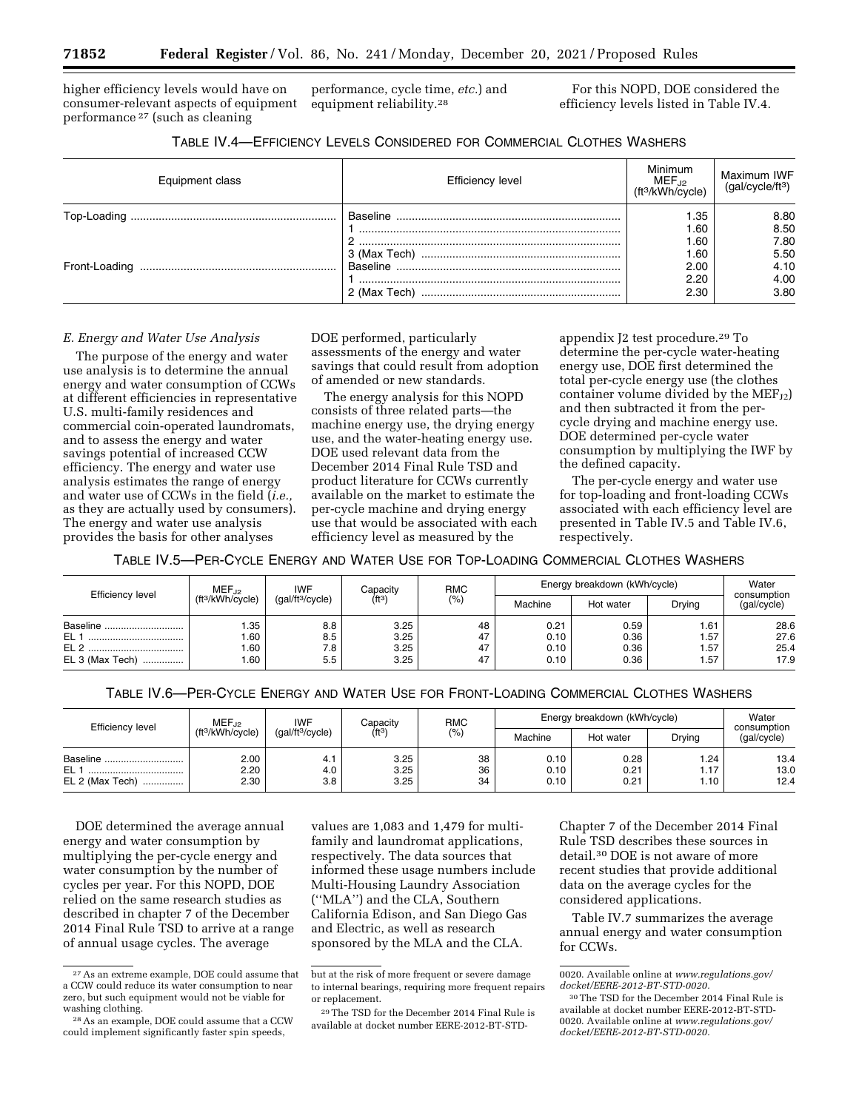higher efficiency levels would have on consumer-relevant aspects of equipment performance 27 (such as cleaning

performance, cycle time, *etc.*) and equipment reliability.28

For this NOPD, DOE considered the efficiency levels listed in Table IV.4.

| TABLE IV.4-EFFICIENCY LEVELS CONSIDERED FOR COMMERCIAL CLOTHES WASHERS |  |
|------------------------------------------------------------------------|--|
|------------------------------------------------------------------------|--|

| Equipment class | <b>Efficiency level</b> | Minimum<br>$MEF_{.12}$<br>(ft <sup>3</sup> /kWh/cycle) | Maximum IWF<br>(gal/cycle/ft <sup>3</sup> ) |
|-----------------|-------------------------|--------------------------------------------------------|---------------------------------------------|
|                 | Baseline                | .35                                                    | 8.80                                        |
|                 |                         | .60                                                    | 8.50                                        |
|                 |                         | .60                                                    | 7.80                                        |
|                 |                         | .60                                                    | 5.50                                        |
|                 |                         | 2.00                                                   | 4.10                                        |
|                 |                         | 2.20                                                   | 4.00                                        |
|                 | 2 (Max Tech)            | 2.30                                                   | 3.80                                        |

### *E. Energy and Water Use Analysis*

The purpose of the energy and water use analysis is to determine the annual energy and water consumption of CCWs at different efficiencies in representative U.S. multi-family residences and commercial coin-operated laundromats, and to assess the energy and water savings potential of increased CCW efficiency. The energy and water use analysis estimates the range of energy and water use of CCWs in the field (*i.e.,*  as they are actually used by consumers). The energy and water use analysis provides the basis for other analyses

DOE performed, particularly assessments of the energy and water savings that could result from adoption of amended or new standards.

The energy analysis for this NOPD consists of three related parts—the machine energy use, the drying energy use, and the water-heating energy use. DOE used relevant data from the December 2014 Final Rule TSD and product literature for CCWs currently available on the market to estimate the per-cycle machine and drying energy use that would be associated with each efficiency level as measured by the

appendix J2 test procedure.29 To determine the per-cycle water-heating energy use, DOE first determined the total per-cycle energy use (the clothes container volume divided by the  $MEF_{J2}$ ) and then subtracted it from the percycle drying and machine energy use. DOE determined per-cycle water consumption by multiplying the IWF by the defined capacity.

The per-cycle energy and water use for top-loading and front-loading CCWs associated with each efficiency level are presented in Table IV.5 and Table IV.6, respectively.

TABLE IV.5—PER-CYCLE ENERGY AND WATER USE FOR TOP-LOADING COMMERCIAL CLOTHES WASHERS

| Efficiency level     | <b>IWF</b><br>$MEF_{.12}$<br>ft <sup>3</sup> /kWh/cycle) |     | Capacity<br>(gal/ft <sup>3</sup> /cycle)<br>(ft3 | <b>RMC</b><br>(%) | Energy breakdown (kWh/cycle) | Water     |        |                            |
|----------------------|----------------------------------------------------------|-----|--------------------------------------------------|-------------------|------------------------------|-----------|--------|----------------------------|
|                      |                                                          |     |                                                  |                   | Machine                      | Hot water | Drying | consumption<br>(gal/cycle) |
| Baseline<br>         | .35                                                      | 8.8 | 3.25                                             | 48                | 0.21                         | 0.59      | 1.61   | 28.6                       |
| EL 1                 | .60                                                      | 8.5 | 3.25                                             | 47                | 0.10                         | 0.36      | i.57   | 27.6                       |
| EL <sub>2</sub><br>  | .60                                                      | 7.8 | 3.25                                             | 47                | 0.10                         | 0.36      | 1.57   | 25.4                       |
| EL 3 (Max Tech)<br>. | .60                                                      | 5.5 | 3.25                                             | 47                | 0.10                         | 0.36      | 1.57   | 17.9                       |

TABLE IV.6—PER-CYCLE ENERGY AND WATER USE FOR FRONT-LOADING COMMERCIAL CLOTHES WASHERS

| Machine<br>Hot water<br>3.25<br>2.00<br>38<br>0.10<br>0.28<br>Baseline | Efficiency level | $MEF_{.12}$<br><b>IWF</b>    |                              | <b>RMC</b><br>Capacity |        | Energy breakdown (kWh/cycle) | Water<br>consumption |                      |                      |
|------------------------------------------------------------------------|------------------|------------------------------|------------------------------|------------------------|--------|------------------------------|----------------------|----------------------|----------------------|
|                                                                        |                  | (ft <sup>3</sup> /kWh/cycle) | (gal/ft <sup>3</sup> /cycle) | (ft3)                  | $(\%)$ |                              |                      | Drying               | (gal/cycle)          |
| <br>2.30<br>3.25<br>0.21<br>34<br>0.10<br>3.8<br>EL 2 (Max Tech)<br>.  | EL 1             | 2.20                         | 4.0                          | 3.25                   | 36     | 0.10                         | 0.21                 | 1.24<br>1.17<br>1.10 | 13.4<br>13.0<br>12.4 |

DOE determined the average annual energy and water consumption by multiplying the per-cycle energy and water consumption by the number of cycles per year. For this NOPD, DOE relied on the same research studies as described in chapter 7 of the December 2014 Final Rule TSD to arrive at a range of annual usage cycles. The average

values are 1,083 and 1,479 for multifamily and laundromat applications, respectively. The data sources that informed these usage numbers include Multi-Housing Laundry Association (''MLA'') and the CLA, Southern California Edison, and San Diego Gas and Electric, as well as research sponsored by the MLA and the CLA.

Chapter 7 of the December 2014 Final Rule TSD describes these sources in detail.30 DOE is not aware of more recent studies that provide additional data on the average cycles for the considered applications.

Table IV.7 summarizes the average annual energy and water consumption for CCWs.

<sup>27</sup>As an extreme example, DOE could assume that a CCW could reduce its water consumption to near zero, but such equipment would not be viable for washing clothing.

<sup>28</sup>As an example, DOE could assume that a CCW could implement significantly faster spin speeds,

but at the risk of more frequent or severe damage to internal bearings, requiring more frequent repairs or replacement.

<sup>29</sup>The TSD for the December 2014 Final Rule is available at docket number EERE-2012-BT-STD-

<sup>0020.</sup> Available online at *[www.regulations.gov/](http://www.regulations.gov/docket/EERE-2012-BT-STD-0020)  [docket/EERE-2012-BT-STD-0020.](http://www.regulations.gov/docket/EERE-2012-BT-STD-0020)* 

<sup>30</sup>The TSD for the December 2014 Final Rule is available at docket number EERE-2012-BT-STD-0020. Available online at *[www.regulations.gov/](http://www.regulations.gov/docket/EERE-2012-BT-STD-0020)  [docket/EERE-2012-BT-STD-0020.](http://www.regulations.gov/docket/EERE-2012-BT-STD-0020)*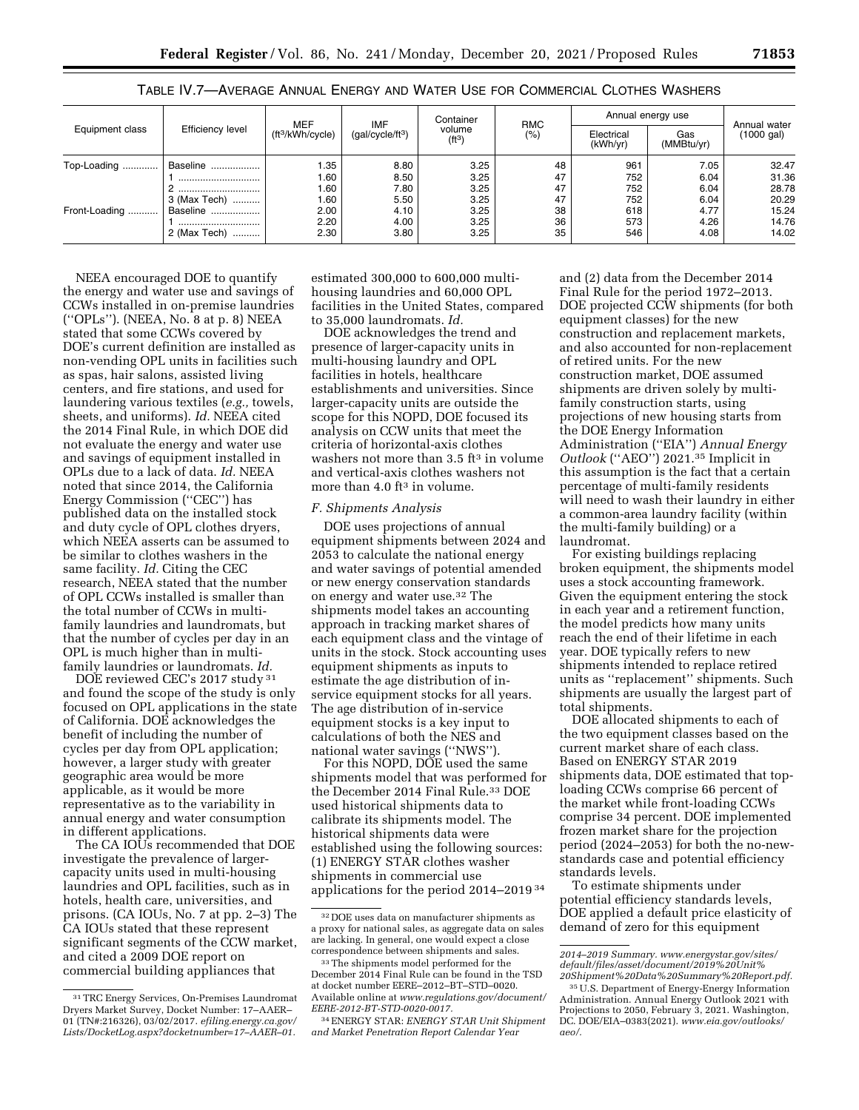|                 | <b>Efficiency level</b>          | <b>MEF</b><br>(ft <sup>3</sup> /kWh/cycle) | IMF<br>(gal/cycle/ft <sup>3</sup> ) | Container<br>volume<br>(ft <sup>3</sup> ) | <b>RMC</b><br>$(\%)$ | Annual energy use      | Annual water      |            |
|-----------------|----------------------------------|--------------------------------------------|-------------------------------------|-------------------------------------------|----------------------|------------------------|-------------------|------------|
| Equipment class |                                  |                                            |                                     |                                           |                      | Electrical<br>(kWh/yr) | Gas<br>(MMBtu/yr) | (1000 gal) |
| Top-Loading     | Baseline                         | 1.35                                       | 8.80                                | 3.25                                      | 48                   | 961                    | 7.05              | 32.47      |
|                 | ,,,,,,,,,,,,,,,,,,,,,,,,,,,,,,,, | 1.60                                       | 8.50                                | 3.25                                      | 47                   | 752                    | 6.04              | 31.36      |
|                 |                                  | 1.60                                       | 7.80                                | 3.25                                      | 47                   | 752                    | 6.04              | 28.78      |
|                 | 3 (Max Tech)                     | 1.60                                       | 5.50                                | 3.25                                      | 47                   | 752                    | 6.04              | 20.29      |
| Front-Loading   | Baseline                         | 2.00                                       | 4.10                                | 3.25                                      | 38                   | 618                    | 4.77              | 15.24      |
|                 | ,,,,,,,,,,,,,,,,,,,,,,,,,,,,,,,  | 2.20                                       | 4.00                                | 3.25                                      | 36                   | 573                    | 4.26              | 14.76      |
|                 | 2 (Max Tech)                     | 2.30                                       | 3.80                                | 3.25                                      | 35                   | 546                    | 4.08              | 14.02      |

TABLE IV.7—AVERAGE ANNUAL ENERGY AND WATER USE FOR COMMERCIAL CLOTHES WASHERS

NEEA encouraged DOE to quantify the energy and water use and savings of CCWs installed in on-premise laundries (''OPLs''). (NEEA, No. 8 at p. 8) NEEA stated that some CCWs covered by DOE's current definition are installed as non-vending OPL units in facilities such as spas, hair salons, assisted living centers, and fire stations, and used for laundering various textiles (*e.g.,* towels, sheets, and uniforms). *Id.* NEEA cited the 2014 Final Rule, in which DOE did not evaluate the energy and water use and savings of equipment installed in OPLs due to a lack of data. *Id.* NEEA noted that since 2014, the California Energy Commission (''CEC'') has published data on the installed stock and duty cycle of OPL clothes dryers, which NEEA asserts can be assumed to be similar to clothes washers in the same facility. *Id.* Citing the CEC research, NEEA stated that the number of OPL CCWs installed is smaller than the total number of CCWs in multifamily laundries and laundromats, but that the number of cycles per day in an OPL is much higher than in multifamily laundries or laundromats. *Id.* 

DOE reviewed CEC's 2017 study 31 and found the scope of the study is only focused on OPL applications in the state of California. DOE acknowledges the benefit of including the number of cycles per day from OPL application; however, a larger study with greater geographic area would be more applicable, as it would be more representative as to the variability in annual energy and water consumption in different applications.

The CA IOUs recommended that DOE investigate the prevalence of largercapacity units used in multi-housing laundries and OPL facilities, such as in hotels, health care, universities, and prisons. (CA IOUs, No. 7 at pp. 2–3) The CA IOUs stated that these represent significant segments of the CCW market, and cited a 2009 DOE report on commercial building appliances that

estimated 300,000 to 600,000 multihousing laundries and 60,000 OPL facilities in the United States, compared to 35,000 laundromats. *Id.* 

DOE acknowledges the trend and presence of larger-capacity units in multi-housing laundry and OPL facilities in hotels, healthcare establishments and universities. Since larger-capacity units are outside the scope for this NOPD, DOE focused its analysis on CCW units that meet the criteria of horizontal-axis clothes washers not more than 3.5 ft<sup>3</sup> in volume and vertical-axis clothes washers not more than 4.0 ft<sup>3</sup> in volume.

### *F. Shipments Analysis*

DOE uses projections of annual equipment shipments between 2024 and 2053 to calculate the national energy and water savings of potential amended or new energy conservation standards on energy and water use.32 The shipments model takes an accounting approach in tracking market shares of each equipment class and the vintage of units in the stock. Stock accounting uses equipment shipments as inputs to estimate the age distribution of inservice equipment stocks for all years. The age distribution of in-service equipment stocks is a key input to calculations of both the NES and national water savings (''NWS'').

For this NOPD, DOE used the same shipments model that was performed for the December 2014 Final Rule.<sup>33</sup> DOE used historical shipments data to calibrate its shipments model. The historical shipments data were established using the following sources: (1) ENERGY STAR clothes washer shipments in commercial use applications for the period 2014–2019 34

and (2) data from the December 2014 Final Rule for the period 1972–2013. DOE projected CCW shipments (for both equipment classes) for the new construction and replacement markets, and also accounted for non-replacement of retired units. For the new construction market, DOE assumed shipments are driven solely by multifamily construction starts, using projections of new housing starts from the DOE Energy Information Administration (''EIA'') *Annual Energy Outlook* (''AEO'') 2021.35 Implicit in this assumption is the fact that a certain percentage of multi-family residents will need to wash their laundry in either a common-area laundry facility (within the multi-family building) or a laundromat.

For existing buildings replacing broken equipment, the shipments model uses a stock accounting framework. Given the equipment entering the stock in each year and a retirement function, the model predicts how many units reach the end of their lifetime in each year. DOE typically refers to new shipments intended to replace retired units as ''replacement'' shipments. Such shipments are usually the largest part of total shipments.

DOE allocated shipments to each of the two equipment classes based on the current market share of each class. Based on ENERGY STAR 2019 shipments data, DOE estimated that toploading CCWs comprise 66 percent of the market while front-loading CCWs comprise 34 percent. DOE implemented frozen market share for the projection period (2024–2053) for both the no-newstandards case and potential efficiency standards levels.

To estimate shipments under potential efficiency standards levels, DOE applied a default price elasticity of demand of zero for this equipment

<sup>31</sup>TRC Energy Services, On-Premises Laundromat Dryers Market Survey, Docket Number: 17–AAER– 01 (TN#:216326), 03/02/2017. *efiling.energy.ca.gov/ Lists/DocketLog.aspx?docketnumber=17–AAER–01.* 

<sup>32</sup> DOE uses data on manufacturer shipments as a proxy for national sales, as aggregate data on sales are lacking. In general, one would expect a close correspondence between shipments and sales.

<sup>33</sup>The shipments model performed for the December 2014 Final Rule can be found in the TSD at docket number EERE–2012–BT–STD–0020. Available online at *[www.regulations.gov/document/](http://www.regulations.gov/document/EERE-2012-BT-STD-0020-0017) [EERE-2012-BT-STD-0020-0017.](http://www.regulations.gov/document/EERE-2012-BT-STD-0020-0017)* 

<sup>34</sup>ENERGY STAR: *ENERGY STAR Unit Shipment and Market Penetration Report Calendar Year* 

*<sup>2014–2019</sup> Summary. [www.energystar.gov/sites/](http://www.energystar.gov/sites/default/files/asset/document/2019%20Unit%20Shipment%20Data%20Summary%20Report.pdf) [default/files/asset/document/2019%20Unit%](http://www.energystar.gov/sites/default/files/asset/document/2019%20Unit%20Shipment%20Data%20Summary%20Report.pdf) [20Shipment%20Data%20Summary%20Report.pdf.](http://www.energystar.gov/sites/default/files/asset/document/2019%20Unit%20Shipment%20Data%20Summary%20Report.pdf)* 

<sup>35</sup>U.S. Department of Energy-Energy Information Administration. Annual Energy Outlook 2021 with Projections to 2050, February 3, 2021. Washington, DC. DOE/EIA–0383(2021). *[www.eia.gov/outlooks/](http://www.eia.gov/outlooks/aeo/) [aeo/.](http://www.eia.gov/outlooks/aeo/)*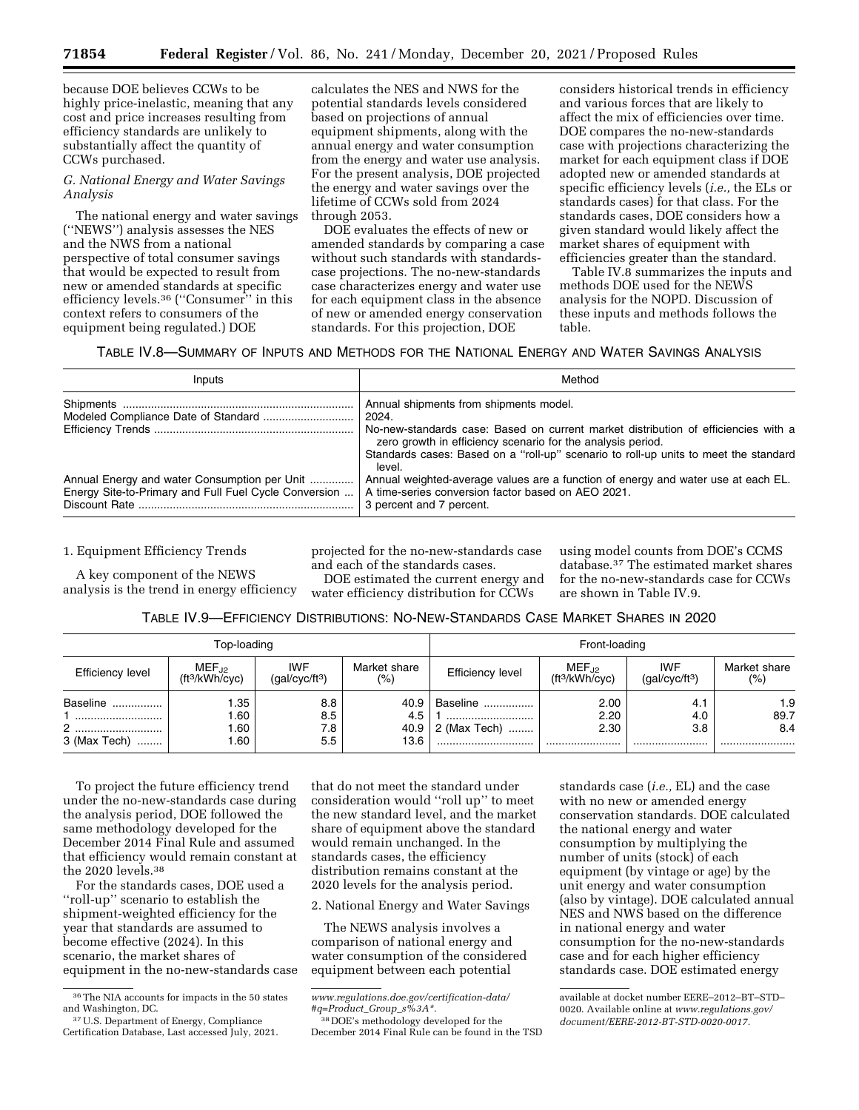**71854 Federal Register** / Vol. 86, No. 241 / Monday, December 20, 2021 / Proposed Rules

because DOE believes CCWs to be highly price-inelastic, meaning that any cost and price increases resulting from efficiency standards are unlikely to substantially affect the quantity of CCWs purchased.

### *G. National Energy and Water Savings Analysis*

The national energy and water savings (''NEWS'') analysis assesses the NES and the NWS from a national perspective of total consumer savings that would be expected to result from new or amended standards at specific efficiency levels.36 (''Consumer'' in this context refers to consumers of the equipment being regulated.) DOE

calculates the NES and NWS for the potential standards levels considered based on projections of annual equipment shipments, along with the annual energy and water consumption from the energy and water use analysis. For the present analysis, DOE projected the energy and water savings over the lifetime of CCWs sold from 2024 through 2053.

DOE evaluates the effects of new or amended standards by comparing a case without such standards with standardscase projections. The no-new-standards case characterizes energy and water use for each equipment class in the absence of new or amended energy conservation standards. For this projection, DOE

considers historical trends in efficiency and various forces that are likely to affect the mix of efficiencies over time. DOE compares the no-new-standards case with projections characterizing the market for each equipment class if DOE adopted new or amended standards at specific efficiency levels (*i.e.,* the ELs or standards cases) for that class. For the standards cases, DOE considers how a given standard would likely affect the market shares of equipment with efficiencies greater than the standard.

Table IV.8 summarizes the inputs and methods DOE used for the NEWS analysis for the NOPD. Discussion of these inputs and methods follows the table.

# TABLE IV.8—SUMMARY OF INPUTS AND METHODS FOR THE NATIONAL ENERGY AND WATER SAVINGS ANALYSIS

| Inputs                                                                                                | Method                                                                                                                                                                                                                                                                                       |
|-------------------------------------------------------------------------------------------------------|----------------------------------------------------------------------------------------------------------------------------------------------------------------------------------------------------------------------------------------------------------------------------------------------|
|                                                                                                       | Annual shipments from shipments model.<br>2024.<br>No-new-standards case: Based on current market distribution of efficiencies with a<br>zero growth in efficiency scenario for the analysis period.<br>Standards cases: Based on a "roll-up" scenario to roll-up units to meet the standard |
| Annual Energy and water Consumption per Unit<br>Energy Site-to-Primary and Full Fuel Cycle Conversion | level.<br>Annual weighted-average values are a function of energy and water use at each EL.<br>A time-series conversion factor based on AEO 2021.<br>3 percent and 7 percent.                                                                                                                |

1. Equipment Efficiency Trends

A key component of the NEWS analysis is the trend in energy efficiency projected for the no-new-standards case and each of the standards cases.

DOE estimated the current energy and water efficiency distribution for CCWs

using model counts from DOE's CCMS database.37 The estimated market shares for the no-new-standards case for CCWs are shown in Table IV.9.

# TABLE IV.9—EFFICIENCY DISTRIBUTIONS: NO-NEW-STANDARDS CASE MARKET SHARES IN 2020

| Top-loading                        |                                          |                                          |                      |                                                   | Front-loading                   |                                          |                        |
|------------------------------------|------------------------------------------|------------------------------------------|----------------------|---------------------------------------------------|---------------------------------|------------------------------------------|------------------------|
| Efficiency level                   | $MEF_{.12}$<br>ft <sup>3</sup> /kWh/cyc) | <b>IWF</b><br>(gal/cyc/ft <sup>3</sup> ) | Market share<br>(% ) | Efficiency level                                  | $MEF_{.12}$<br>$(ft^3/kWh/cvc)$ | <b>IWF</b><br>(gal/cyc/ft <sup>3</sup> ) | Market share<br>(%)    |
| Baseline<br>2<br>3 (Max Tech)<br>. | .35<br>.60<br>.60<br>.60                 | 8.8<br>8.5<br>7.8<br>5.5                 | 40.9<br>4.5<br>13.6  | <b>Baseline </b><br><br>40.9 $\vert$ 2 (Max Tech) | 2.00<br>2.20<br>2.30            | 4.1<br>4.0<br>3.8<br>                    | 1.9<br>89.7<br>8.4<br> |

To project the future efficiency trend under the no-new-standards case during the analysis period, DOE followed the same methodology developed for the December 2014 Final Rule and assumed that efficiency would remain constant at the 2020 levels.38

For the standards cases, DOE used a ''roll-up'' scenario to establish the shipment-weighted efficiency for the year that standards are assumed to become effective (2024). In this scenario, the market shares of equipment in the no-new-standards case

that do not meet the standard under consideration would ''roll up'' to meet the new standard level, and the market share of equipment above the standard would remain unchanged. In the standards cases, the efficiency distribution remains constant at the 2020 levels for the analysis period.

2. National Energy and Water Savings

The NEWS analysis involves a comparison of national energy and water consumption of the considered equipment between each potential

standards case (*i.e.,* EL) and the case with no new or amended energy conservation standards. DOE calculated the national energy and water consumption by multiplying the number of units (stock) of each equipment (by vintage or age) by the unit energy and water consumption (also by vintage). DOE calculated annual NES and NWS based on the difference in national energy and water consumption for the no-new-standards case and for each higher efficiency standards case. DOE estimated energy

available at docket number EERE–2012–BT–STD– 0020. Available online at *[www.regulations.gov/](http://www.regulations.gov/document/EERE-2012-BT-STD-0020-0017)  [document/EERE-2012-BT-STD-0020-0017.](http://www.regulations.gov/document/EERE-2012-BT-STD-0020-0017)* 

<sup>36</sup>The NIA accounts for impacts in the 50 states and Washington, DC.

<sup>37</sup>U.S. Department of Energy, Compliance Certification Database, Last accessed July, 2021.

*[www.regulations.doe.gov/certification-data/](http://www.regulations.doe.gov/certification-data/#q=Product_Group_s%3A*) [#q=Product](http://www.regulations.doe.gov/certification-data/#q=Product_Group_s%3A*)*\_*Group*\_*s%3A\*.* 

<sup>38</sup> DOE's methodology developed for the December 2014 Final Rule can be found in the TSD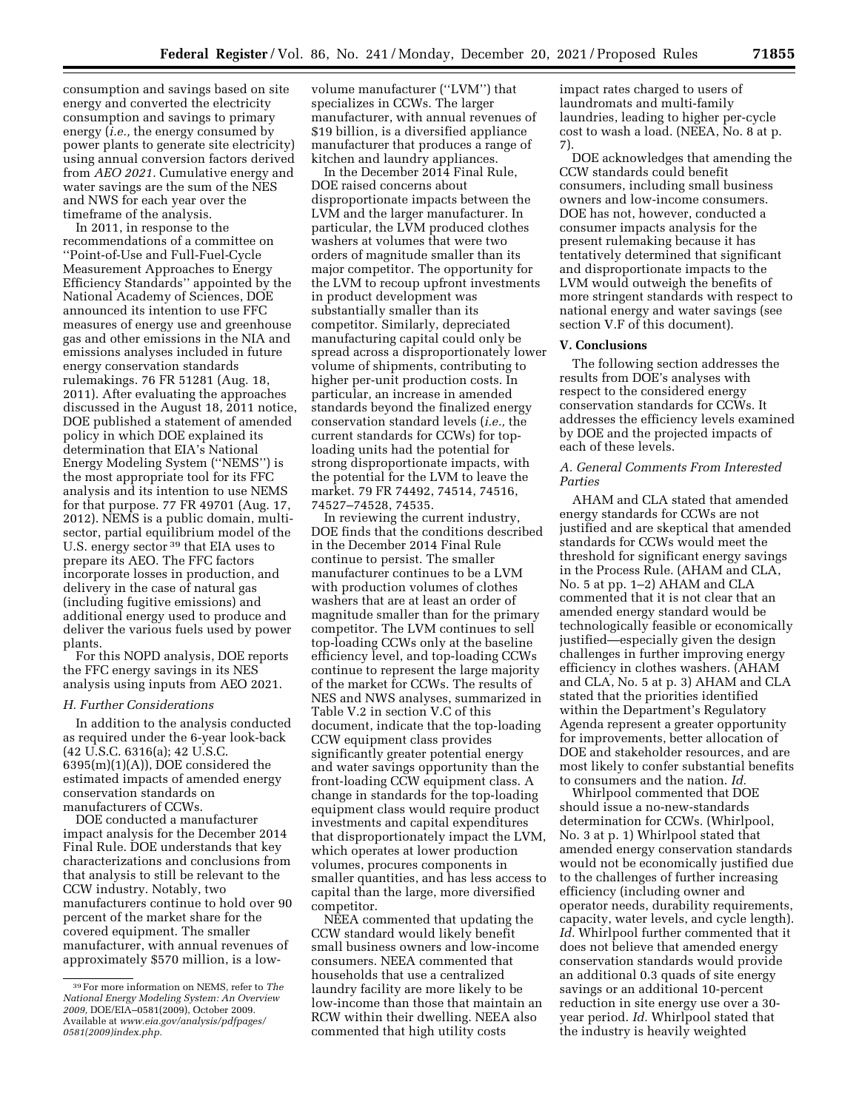consumption and savings based on site energy and converted the electricity consumption and savings to primary energy (*i.e.,* the energy consumed by power plants to generate site electricity) using annual conversion factors derived from *AEO 2021.* Cumulative energy and water savings are the sum of the NES and NWS for each year over the timeframe of the analysis.

In 2011, in response to the recommendations of a committee on ''Point-of-Use and Full-Fuel-Cycle Measurement Approaches to Energy Efficiency Standards'' appointed by the National Academy of Sciences, DOE announced its intention to use FFC measures of energy use and greenhouse gas and other emissions in the NIA and emissions analyses included in future energy conservation standards rulemakings. 76 FR 51281 (Aug. 18, 2011). After evaluating the approaches discussed in the August 18, 2011 notice, DOE published a statement of amended policy in which DOE explained its determination that EIA's National Energy Modeling System (''NEMS'') is the most appropriate tool for its FFC analysis and its intention to use NEMS for that purpose. 77 FR 49701 (Aug. 17, 2012). NEMS is a public domain, multisector, partial equilibrium model of the U.S. energy sector 39 that EIA uses to prepare its AEO. The FFC factors incorporate losses in production, and delivery in the case of natural gas (including fugitive emissions) and additional energy used to produce and deliver the various fuels used by power plants.

For this NOPD analysis, DOE reports the FFC energy savings in its NES analysis using inputs from AEO 2021.

#### *H. Further Considerations*

In addition to the analysis conducted as required under the 6-year look-back (42 U.S.C. 6316(a); 42 U.S.C. 6395(m)(1)(A)), DOE considered the estimated impacts of amended energy conservation standards on manufacturers of CCWs.

DOE conducted a manufacturer impact analysis for the December 2014 Final Rule. DOE understands that key characterizations and conclusions from that analysis to still be relevant to the CCW industry. Notably, two manufacturers continue to hold over 90 percent of the market share for the covered equipment. The smaller manufacturer, with annual revenues of approximately \$570 million, is a low-

volume manufacturer (''LVM'') that specializes in CCWs. The larger manufacturer, with annual revenues of \$19 billion, is a diversified appliance manufacturer that produces a range of kitchen and laundry appliances.

In the December 2014 Final Rule, DOE raised concerns about disproportionate impacts between the LVM and the larger manufacturer. In particular, the LVM produced clothes washers at volumes that were two orders of magnitude smaller than its major competitor. The opportunity for the LVM to recoup upfront investments in product development was substantially smaller than its competitor. Similarly, depreciated manufacturing capital could only be spread across a disproportionately lower volume of shipments, contributing to higher per-unit production costs. In particular, an increase in amended standards beyond the finalized energy conservation standard levels (*i.e.,* the current standards for CCWs) for toploading units had the potential for strong disproportionate impacts, with the potential for the LVM to leave the market. 79 FR 74492, 74514, 74516, 74527–74528, 74535.

In reviewing the current industry, DOE finds that the conditions described in the December 2014 Final Rule continue to persist. The smaller manufacturer continues to be a LVM with production volumes of clothes washers that are at least an order of magnitude smaller than for the primary competitor. The LVM continues to sell top-loading CCWs only at the baseline efficiency level, and top-loading CCWs continue to represent the large majority of the market for CCWs. The results of NES and NWS analyses, summarized in Table V.2 in section V.C of this document, indicate that the top-loading CCW equipment class provides significantly greater potential energy and water savings opportunity than the front-loading CCW equipment class. A change in standards for the top-loading equipment class would require product investments and capital expenditures that disproportionately impact the LVM, which operates at lower production volumes, procures components in smaller quantities, and has less access to capital than the large, more diversified competitor.

NEEA commented that updating the CCW standard would likely benefit small business owners and low-income consumers. NEEA commented that households that use a centralized laundry facility are more likely to be low-income than those that maintain an RCW within their dwelling. NEEA also commented that high utility costs

impact rates charged to users of laundromats and multi-family laundries, leading to higher per-cycle cost to wash a load. (NEEA, No. 8 at p. 7).

DOE acknowledges that amending the CCW standards could benefit consumers, including small business owners and low-income consumers. DOE has not, however, conducted a consumer impacts analysis for the present rulemaking because it has tentatively determined that significant and disproportionate impacts to the LVM would outweigh the benefits of more stringent standards with respect to national energy and water savings (see section V.F of this document).

# **V. Conclusions**

The following section addresses the results from DOE's analyses with respect to the considered energy conservation standards for CCWs. It addresses the efficiency levels examined by DOE and the projected impacts of each of these levels.

### *A. General Comments From Interested Parties*

AHAM and CLA stated that amended energy standards for CCWs are not justified and are skeptical that amended standards for CCWs would meet the threshold for significant energy savings in the Process Rule. (AHAM and CLA, No. 5 at pp. 1–2) AHAM and CLA commented that it is not clear that an amended energy standard would be technologically feasible or economically justified—especially given the design challenges in further improving energy efficiency in clothes washers. (AHAM and CLA, No. 5 at p. 3) AHAM and CLA stated that the priorities identified within the Department's Regulatory Agenda represent a greater opportunity for improvements, better allocation of DOE and stakeholder resources, and are most likely to confer substantial benefits to consumers and the nation. *Id.* 

Whirlpool commented that DOE should issue a no-new-standards determination for CCWs. (Whirlpool, No. 3 at p. 1) Whirlpool stated that amended energy conservation standards would not be economically justified due to the challenges of further increasing efficiency (including owner and operator needs, durability requirements, capacity, water levels, and cycle length). *Id.* Whirlpool further commented that it does not believe that amended energy conservation standards would provide an additional 0.3 quads of site energy savings or an additional 10-percent reduction in site energy use over a 30 year period. *Id.* Whirlpool stated that the industry is heavily weighted

<sup>39</sup>For more information on NEMS, refer to *The National Energy Modeling System: An Overview 2009,* DOE/EIA–0581(2009), October 2009. Available at *www.eia.gov/analysis/pdfpages/ 0581(2009)index.php.*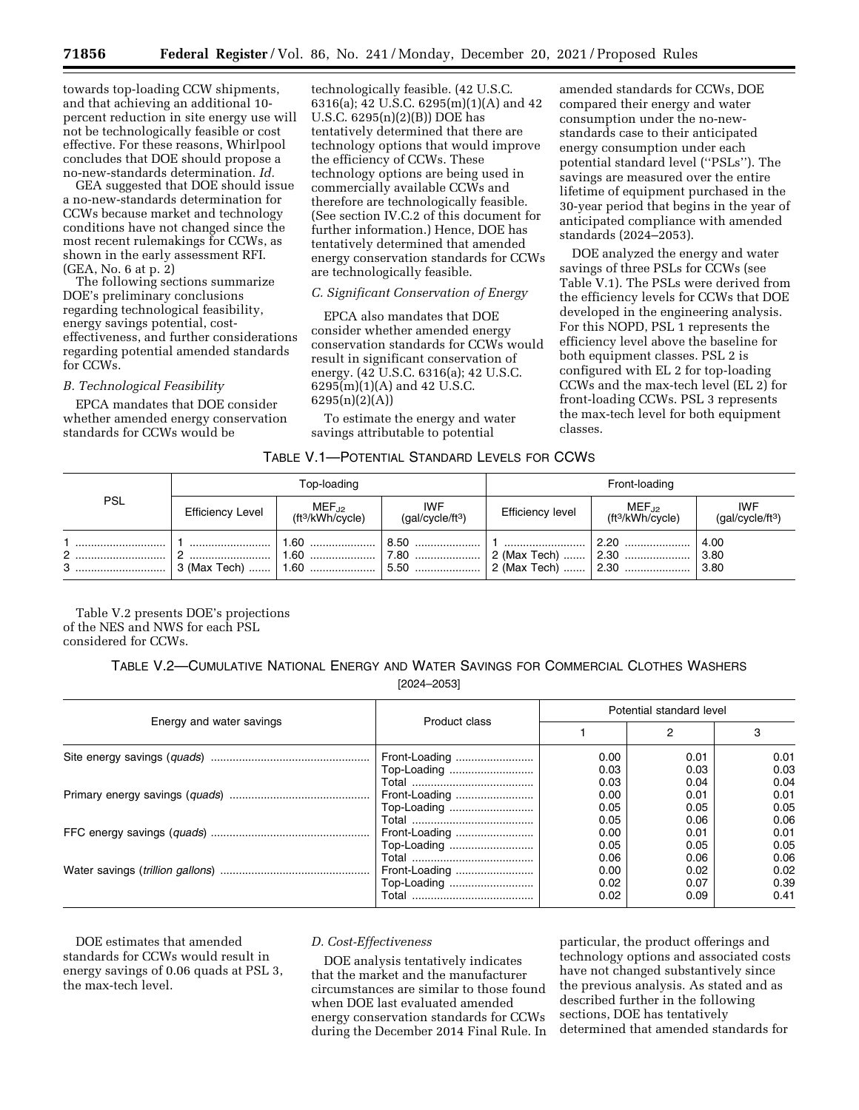towards top-loading CCW shipments, and that achieving an additional 10 percent reduction in site energy use will not be technologically feasible or cost effective. For these reasons, Whirlpool concludes that DOE should propose a no-new-standards determination. *Id.* 

GEA suggested that DOE should issue a no-new-standards determination for CCWs because market and technology conditions have not changed since the most recent rulemakings for CCWs, as shown in the early assessment RFI. (GEA, No. 6 at p. 2)

The following sections summarize DOE's preliminary conclusions regarding technological feasibility, energy savings potential, costeffectiveness, and further considerations regarding potential amended standards for CCWs.

### *B. Technological Feasibility*

EPCA mandates that DOE consider whether amended energy conservation standards for CCWs would be

technologically feasible. (42 U.S.C. 6316(a); 42 U.S.C. 6295(m)(1)(A) and 42 U.S.C.  $6295(n)(2)(B)$ ) DOE has tentatively determined that there are technology options that would improve the efficiency of CCWs. These technology options are being used in commercially available CCWs and therefore are technologically feasible. (See section IV.C.2 of this document for further information.) Hence, DOE has tentatively determined that amended energy conservation standards for CCWs are technologically feasible.

# *C. Significant Conservation of Energy*

EPCA also mandates that DOE consider whether amended energy conservation standards for CCWs would result in significant conservation of energy. (42 U.S.C. 6316(a); 42 U.S.C. 6295(m)(1)(A) and 42 U.S.C. 6295(n)(2)(A))

To estimate the energy and water savings attributable to potential

amended standards for CCWs, DOE compared their energy and water consumption under the no-newstandards case to their anticipated energy consumption under each potential standard level (''PSLs''). The savings are measured over the entire lifetime of equipment purchased in the 30-year period that begins in the year of anticipated compliance with amended standards (2024–2053).

DOE analyzed the energy and water savings of three PSLs for CCWs (see Table V.1). The PSLs were derived from the efficiency levels for CCWs that DOE developed in the engineering analysis. For this NOPD, PSL 1 represents the efficiency level above the baseline for both equipment classes. PSL 2 is configured with EL 2 for top-loading CCWs and the max-tech level (EL 2) for front-loading CCWs. PSL 3 represents the max-tech level for both equipment classes.

| Table V.1—Potential Standard Levels for CCWs |  |  |  |
|----------------------------------------------|--|--|--|
|----------------------------------------------|--|--|--|

| <b>PSL</b> | Top-loading             |                                           | Front-loading                              |                                              |                                           |                                            |
|------------|-------------------------|-------------------------------------------|--------------------------------------------|----------------------------------------------|-------------------------------------------|--------------------------------------------|
|            | <b>Efficiency Level</b> | $MEF_{J2}$<br>ft <sup>3</sup> /kWh/cycle) | <b>IWF</b><br>(gal/cycle/ft <sup>3</sup> ) | Efficiency level                             | $MEF_{J2}$<br>ft <sup>3</sup> /kWh/cycle) | <b>IWF</b><br>(gal/cycle/ft <sup>3</sup> ) |
| 2          | 3 (Max Tech)    1.60    | 1.60 !                                    | $\mid$ 7.80<br>$\vert$ 5.50                | 2 (Max Tech)  2.30<br>  2 (Max Tech)    2.30 |                                           | 4.00<br>3.80<br> 3.80                      |

Table V.2 presents DOE's projections of the NES and NWS for each PSL considered for CCWs.

> TABLE V.2—CUMULATIVE NATIONAL ENERGY AND WATER SAVINGS FOR COMMERCIAL CLOTHES WASHERS [2024–2053]

|                          |               | Potential standard level |      |      |
|--------------------------|---------------|--------------------------|------|------|
| Energy and water savings | Product class |                          |      | 3    |
|                          | Front-Loading | 0.00                     | 0.01 | 0.01 |
|                          | Top-Loading   | 0.03                     | 0.03 | 0.03 |
|                          |               | 0.03                     | 0.04 | 0.04 |
|                          | Front-Loading | 0.00                     | 0.01 | 0.01 |
|                          | Top-Loading   | 0.05                     | 0.05 | 0.05 |
|                          |               | 0.05                     | 0.06 | 0.06 |
|                          | Front-Loading | 0.00                     | 0.01 | 0.01 |
|                          | Top-Loading   | 0.05                     | 0.05 | 0.05 |
|                          |               | 0.06                     | 0.06 | 0.06 |
|                          | Front-Loading | 0.00                     | 0.02 | 0.02 |
|                          | Top-Loading   | 0.02                     | 0.07 | 0.39 |
|                          |               | 0.02                     | 0.09 | 0.41 |

DOE estimates that amended standards for CCWs would result in energy savings of 0.06 quads at PSL 3, the max-tech level.

#### *D. Cost-Effectiveness*

DOE analysis tentatively indicates that the market and the manufacturer circumstances are similar to those found when DOE last evaluated amended energy conservation standards for CCWs during the December 2014 Final Rule. In

particular, the product offerings and technology options and associated costs have not changed substantively since the previous analysis. As stated and as described further in the following sections, DOE has tentatively determined that amended standards for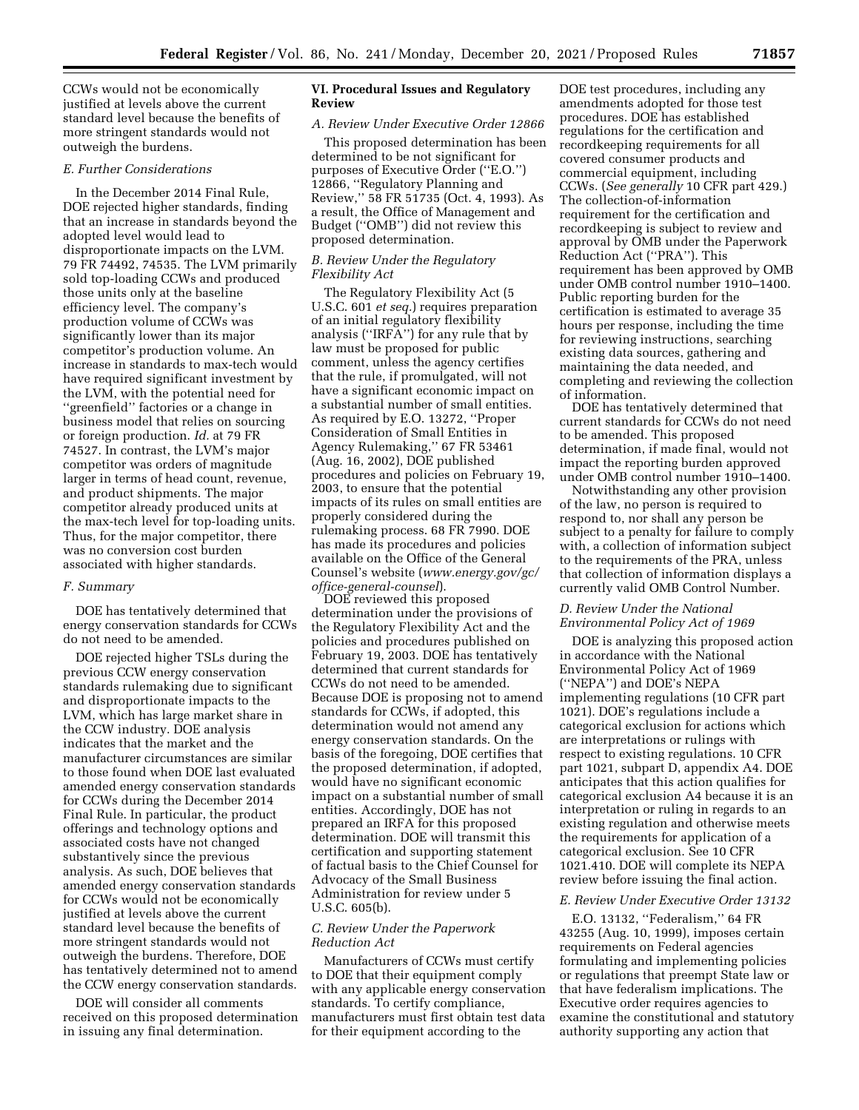CCWs would not be economically justified at levels above the current standard level because the benefits of more stringent standards would not outweigh the burdens.

### *E. Further Considerations*

In the December 2014 Final Rule, DOE rejected higher standards, finding that an increase in standards beyond the adopted level would lead to disproportionate impacts on the LVM. 79 FR 74492, 74535. The LVM primarily sold top-loading CCWs and produced those units only at the baseline efficiency level. The company's production volume of CCWs was significantly lower than its major competitor's production volume. An increase in standards to max-tech would have required significant investment by the LVM, with the potential need for ''greenfield'' factories or a change in business model that relies on sourcing or foreign production. *Id.* at 79 FR 74527. In contrast, the LVM's major competitor was orders of magnitude larger in terms of head count, revenue, and product shipments. The major competitor already produced units at the max-tech level for top-loading units. Thus, for the major competitor, there was no conversion cost burden associated with higher standards.

#### *F. Summary*

DOE has tentatively determined that energy conservation standards for CCWs do not need to be amended.

DOE rejected higher TSLs during the previous CCW energy conservation standards rulemaking due to significant and disproportionate impacts to the LVM, which has large market share in the CCW industry. DOE analysis indicates that the market and the manufacturer circumstances are similar to those found when DOE last evaluated amended energy conservation standards for CCWs during the December 2014 Final Rule. In particular, the product offerings and technology options and associated costs have not changed substantively since the previous analysis. As such, DOE believes that amended energy conservation standards for CCWs would not be economically justified at levels above the current standard level because the benefits of more stringent standards would not outweigh the burdens. Therefore, DOE has tentatively determined not to amend the CCW energy conservation standards.

DOE will consider all comments received on this proposed determination in issuing any final determination.

### **VI. Procedural Issues and Regulatory Review**

#### *A. Review Under Executive Order 12866*

This proposed determination has been determined to be not significant for purposes of Executive Order (''E.O.'') 12866, ''Regulatory Planning and Review,'' 58 FR 51735 (Oct. 4, 1993). As a result, the Office of Management and Budget (''OMB'') did not review this proposed determination.

### *B. Review Under the Regulatory Flexibility Act*

The Regulatory Flexibility Act (5 U.S.C. 601 *et seq.*) requires preparation of an initial regulatory flexibility analysis (''IRFA'') for any rule that by law must be proposed for public comment, unless the agency certifies that the rule, if promulgated, will not have a significant economic impact on a substantial number of small entities. As required by E.O. 13272, ''Proper Consideration of Small Entities in Agency Rulemaking,'' 67 FR 53461 (Aug. 16, 2002), DOE published procedures and policies on February 19, 2003, to ensure that the potential impacts of its rules on small entities are properly considered during the rulemaking process. 68 FR 7990. DOE has made its procedures and policies available on the Office of the General Counsel's website (*[www.energy.gov/gc/](http://www.energy.gov/gc/office-general-counsel) [office-general-counsel](http://www.energy.gov/gc/office-general-counsel)*).

DOE reviewed this proposed determination under the provisions of the Regulatory Flexibility Act and the policies and procedures published on February 19, 2003. DOE has tentatively determined that current standards for CCWs do not need to be amended. Because DOE is proposing not to amend standards for CCWs, if adopted, this determination would not amend any energy conservation standards. On the basis of the foregoing, DOE certifies that the proposed determination, if adopted, would have no significant economic impact on a substantial number of small entities. Accordingly, DOE has not prepared an IRFA for this proposed determination. DOE will transmit this certification and supporting statement of factual basis to the Chief Counsel for Advocacy of the Small Business Administration for review under 5 U.S.C. 605(b).

### *C. Review Under the Paperwork Reduction Act*

Manufacturers of CCWs must certify to DOE that their equipment comply with any applicable energy conservation standards. To certify compliance, manufacturers must first obtain test data for their equipment according to the

DOE test procedures, including any amendments adopted for those test procedures. DOE has established regulations for the certification and recordkeeping requirements for all covered consumer products and commercial equipment, including CCWs. (*See generally* 10 CFR part 429.) The collection-of-information requirement for the certification and recordkeeping is subject to review and approval by OMB under the Paperwork Reduction Act (''PRA''). This requirement has been approved by OMB under OMB control number 1910–1400. Public reporting burden for the certification is estimated to average 35 hours per response, including the time for reviewing instructions, searching existing data sources, gathering and maintaining the data needed, and completing and reviewing the collection of information.

DOE has tentatively determined that current standards for CCWs do not need to be amended. This proposed determination, if made final, would not impact the reporting burden approved under OMB control number 1910–1400.

Notwithstanding any other provision of the law, no person is required to respond to, nor shall any person be subject to a penalty for failure to comply with, a collection of information subject to the requirements of the PRA, unless that collection of information displays a currently valid OMB Control Number.

## *D. Review Under the National Environmental Policy Act of 1969*

DOE is analyzing this proposed action in accordance with the National Environmental Policy Act of 1969 (''NEPA'') and DOE's NEPA implementing regulations (10 CFR part 1021). DOE's regulations include a categorical exclusion for actions which are interpretations or rulings with respect to existing regulations. 10 CFR part 1021, subpart D, appendix A4. DOE anticipates that this action qualifies for categorical exclusion A4 because it is an interpretation or ruling in regards to an existing regulation and otherwise meets the requirements for application of a categorical exclusion. See 10 CFR 1021.410. DOE will complete its NEPA review before issuing the final action.

### *E. Review Under Executive Order 13132*

E.O. 13132, ''Federalism,'' 64 FR 43255 (Aug. 10, 1999), imposes certain requirements on Federal agencies formulating and implementing policies or regulations that preempt State law or that have federalism implications. The Executive order requires agencies to examine the constitutional and statutory authority supporting any action that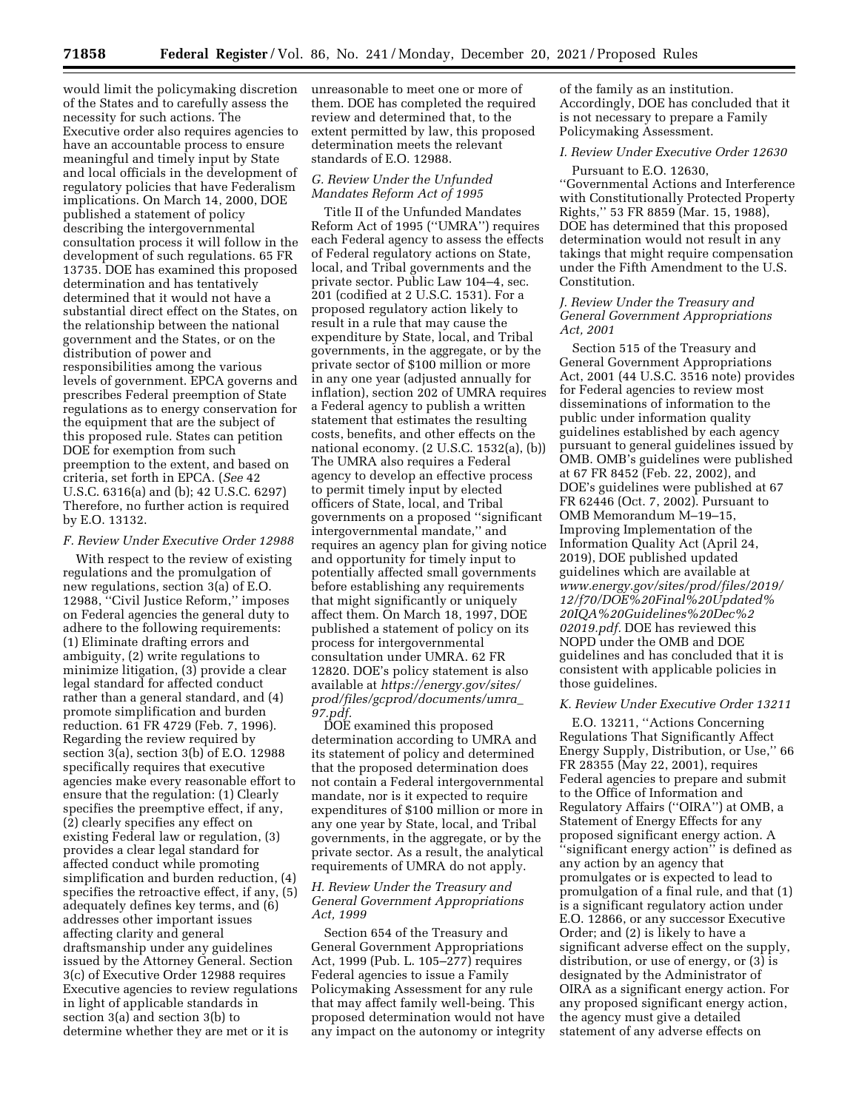would limit the policymaking discretion of the States and to carefully assess the necessity for such actions. The Executive order also requires agencies to have an accountable process to ensure meaningful and timely input by State and local officials in the development of regulatory policies that have Federalism implications. On March 14, 2000, DOE published a statement of policy describing the intergovernmental consultation process it will follow in the development of such regulations. 65 FR 13735. DOE has examined this proposed determination and has tentatively determined that it would not have a substantial direct effect on the States, on the relationship between the national government and the States, or on the distribution of power and responsibilities among the various levels of government. EPCA governs and prescribes Federal preemption of State regulations as to energy conservation for the equipment that are the subject of this proposed rule. States can petition DOE for exemption from such preemption to the extent, and based on criteria, set forth in EPCA. (*See* 42 U.S.C. 6316(a) and (b); 42 U.S.C. 6297) Therefore, no further action is required by E.O. 13132.

### *F. Review Under Executive Order 12988*

With respect to the review of existing regulations and the promulgation of new regulations, section 3(a) of E.O. 12988, ''Civil Justice Reform,'' imposes on Federal agencies the general duty to adhere to the following requirements: (1) Eliminate drafting errors and ambiguity, (2) write regulations to minimize litigation, (3) provide a clear legal standard for affected conduct rather than a general standard, and (4) promote simplification and burden reduction. 61 FR 4729 (Feb. 7, 1996). Regarding the review required by section 3(a), section 3(b) of E.O. 12988 specifically requires that executive agencies make every reasonable effort to ensure that the regulation: (1) Clearly specifies the preemptive effect, if any, (2) clearly specifies any effect on existing Federal law or regulation, (3) provides a clear legal standard for affected conduct while promoting simplification and burden reduction, (4) specifies the retroactive effect, if any, (5) adequately defines key terms, and (6) addresses other important issues affecting clarity and general draftsmanship under any guidelines issued by the Attorney General. Section 3(c) of Executive Order 12988 requires Executive agencies to review regulations in light of applicable standards in section 3(a) and section 3(b) to determine whether they are met or it is

unreasonable to meet one or more of them. DOE has completed the required review and determined that, to the extent permitted by law, this proposed determination meets the relevant standards of E.O. 12988.

## *G. Review Under the Unfunded Mandates Reform Act of 1995*

Title II of the Unfunded Mandates Reform Act of 1995 (''UMRA'') requires each Federal agency to assess the effects of Federal regulatory actions on State, local, and Tribal governments and the private sector. Public Law 104–4, sec. 201 (codified at 2 U.S.C. 1531). For a proposed regulatory action likely to result in a rule that may cause the expenditure by State, local, and Tribal governments, in the aggregate, or by the private sector of \$100 million or more in any one year (adjusted annually for inflation), section 202 of UMRA requires a Federal agency to publish a written statement that estimates the resulting costs, benefits, and other effects on the national economy. (2 U.S.C. 1532(a), (b)) The UMRA also requires a Federal agency to develop an effective process to permit timely input by elected officers of State, local, and Tribal governments on a proposed ''significant intergovernmental mandate,'' and requires an agency plan for giving notice and opportunity for timely input to potentially affected small governments before establishing any requirements that might significantly or uniquely affect them. On March 18, 1997, DOE published a statement of policy on its process for intergovernmental consultation under UMRA. 62 FR 12820. DOE's policy statement is also available at *[https://energy.gov/sites/](https://energy.gov/sites/prod/files/gcprod/documents/umra_97.pdf) [prod/files/gcprod/documents/umra](https://energy.gov/sites/prod/files/gcprod/documents/umra_97.pdf)*\_ *[97.pdf.](https://energy.gov/sites/prod/files/gcprod/documents/umra_97.pdf)* 

DOE examined this proposed determination according to UMRA and its statement of policy and determined that the proposed determination does not contain a Federal intergovernmental mandate, nor is it expected to require expenditures of \$100 million or more in any one year by State, local, and Tribal governments, in the aggregate, or by the private sector. As a result, the analytical requirements of UMRA do not apply.

### *H. Review Under the Treasury and General Government Appropriations Act, 1999*

Section 654 of the Treasury and General Government Appropriations Act, 1999 (Pub. L. 105–277) requires Federal agencies to issue a Family Policymaking Assessment for any rule that may affect family well-being. This proposed determination would not have any impact on the autonomy or integrity of the family as an institution. Accordingly, DOE has concluded that it is not necessary to prepare a Family Policymaking Assessment.

# *I. Review Under Executive Order 12630*

Pursuant to E.O. 12630, ''Governmental Actions and Interference with Constitutionally Protected Property Rights,'' 53 FR 8859 (Mar. 15, 1988), DOE has determined that this proposed determination would not result in any takings that might require compensation under the Fifth Amendment to the U.S. Constitution.

### *J. Review Under the Treasury and General Government Appropriations Act, 2001*

Section 515 of the Treasury and General Government Appropriations Act, 2001 (44 U.S.C. 3516 note) provides for Federal agencies to review most disseminations of information to the public under information quality guidelines established by each agency pursuant to general guidelines issued by OMB. OMB's guidelines were published at 67 FR 8452 (Feb. 22, 2002), and DOE's guidelines were published at 67 FR 62446 (Oct. 7, 2002). Pursuant to OMB Memorandum M–19–15, Improving Implementation of the Information Quality Act (April 24, 2019), DOE published updated guidelines which are available at *[www.energy.gov/sites/prod/files/2019/](http://www.energy.gov/sites/prod/files/2019/12/f70/DOE%20Final%20Updated%20IQA%20Guidelines%20Dec%202019.pdf) [12/f70/DOE%20Final%20Updated%](http://www.energy.gov/sites/prod/files/2019/12/f70/DOE%20Final%20Updated%20IQA%20Guidelines%20Dec%202019.pdf) [20IQA%20Guidelines%20Dec%2](http://www.energy.gov/sites/prod/files/2019/12/f70/DOE%20Final%20Updated%20IQA%20Guidelines%20Dec%202019.pdf) [02019.pdf.](http://www.energy.gov/sites/prod/files/2019/12/f70/DOE%20Final%20Updated%20IQA%20Guidelines%20Dec%202019.pdf)* DOE has reviewed this NOPD under the OMB and DOE guidelines and has concluded that it is consistent with applicable policies in those guidelines.

### *K. Review Under Executive Order 13211*

E.O. 13211, ''Actions Concerning Regulations That Significantly Affect Energy Supply, Distribution, or Use,'' 66 FR 28355 (May 22, 2001), requires Federal agencies to prepare and submit to the Office of Information and Regulatory Affairs (''OIRA'') at OMB, a Statement of Energy Effects for any proposed significant energy action. A ''significant energy action'' is defined as any action by an agency that promulgates or is expected to lead to promulgation of a final rule, and that (1) is a significant regulatory action under E.O. 12866, or any successor Executive Order; and (2) is likely to have a significant adverse effect on the supply, distribution, or use of energy, or (3) is designated by the Administrator of OIRA as a significant energy action. For any proposed significant energy action, the agency must give a detailed statement of any adverse effects on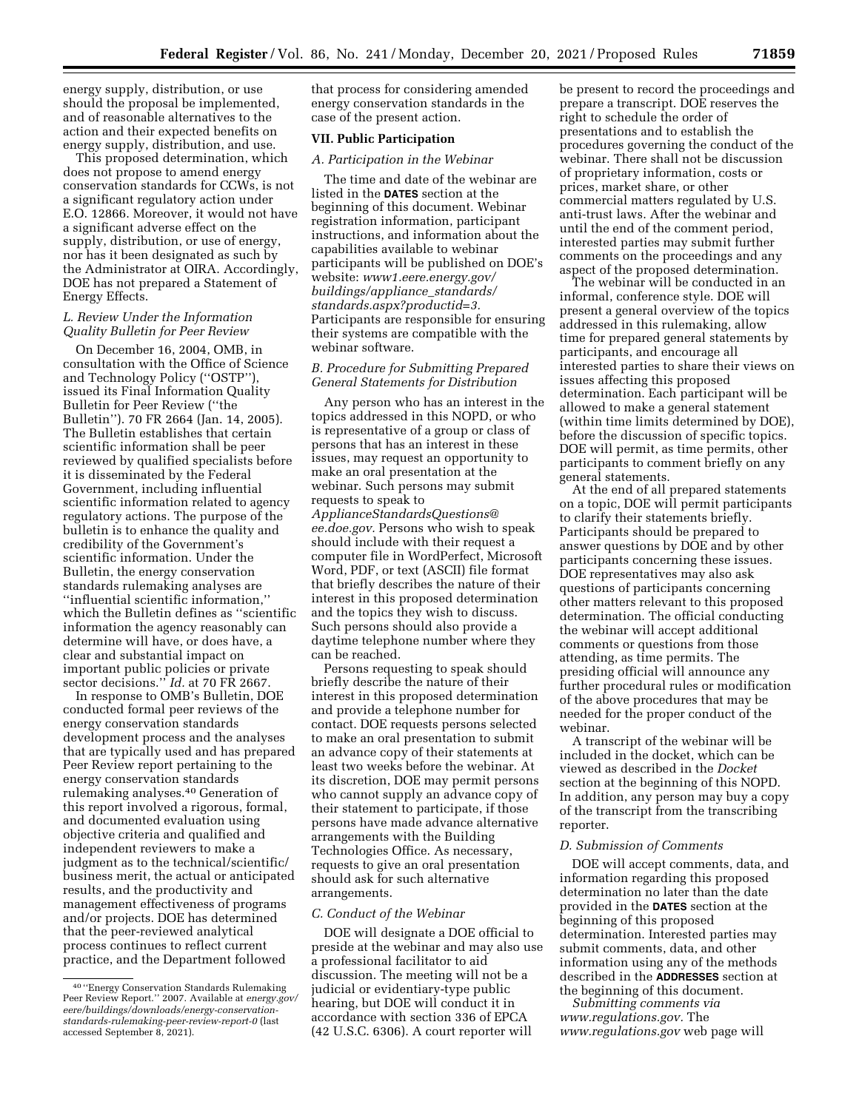energy supply, distribution, or use should the proposal be implemented, and of reasonable alternatives to the action and their expected benefits on energy supply, distribution, and use.

This proposed determination, which does not propose to amend energy conservation standards for CCWs, is not a significant regulatory action under E.O. 12866. Moreover, it would not have a significant adverse effect on the supply, distribution, or use of energy, nor has it been designated as such by the Administrator at OIRA. Accordingly, DOE has not prepared a Statement of Energy Effects.

### *L. Review Under the Information Quality Bulletin for Peer Review*

On December 16, 2004, OMB, in consultation with the Office of Science and Technology Policy (''OSTP''), issued its Final Information Quality Bulletin for Peer Review (''the Bulletin''). 70 FR 2664 (Jan. 14, 2005). The Bulletin establishes that certain scientific information shall be peer reviewed by qualified specialists before it is disseminated by the Federal Government, including influential scientific information related to agency regulatory actions. The purpose of the bulletin is to enhance the quality and credibility of the Government's scientific information. Under the Bulletin, the energy conservation standards rulemaking analyses are ''influential scientific information,'' which the Bulletin defines as ''scientific information the agency reasonably can determine will have, or does have, a clear and substantial impact on important public policies or private sector decisions.'' *Id.* at 70 FR 2667.

In response to OMB's Bulletin, DOE conducted formal peer reviews of the energy conservation standards development process and the analyses that are typically used and has prepared Peer Review report pertaining to the energy conservation standards rulemaking analyses.40 Generation of this report involved a rigorous, formal, and documented evaluation using objective criteria and qualified and independent reviewers to make a judgment as to the technical/scientific/ business merit, the actual or anticipated results, and the productivity and management effectiveness of programs and/or projects. DOE has determined that the peer-reviewed analytical process continues to reflect current practice, and the Department followed

that process for considering amended energy conservation standards in the case of the present action.

### **VII. Public Participation**

### *A. Participation in the Webinar*

The time and date of the webinar are listed in the **DATES** section at the beginning of this document. Webinar registration information, participant instructions, and information about the capabilities available to webinar participants will be published on DOE's website: *[www1.eere.energy.gov/](http://www1.eere.energy.gov/buildings/appliance_standards/standards.aspx?productid=3) [buildings/appliance](http://www1.eere.energy.gov/buildings/appliance_standards/standards.aspx?productid=3)*\_*standards/ [standards.aspx?productid=3.](http://www1.eere.energy.gov/buildings/appliance_standards/standards.aspx?productid=3)*  Participants are responsible for ensuring their systems are compatible with the webinar software.

# *B. Procedure for Submitting Prepared General Statements for Distribution*

Any person who has an interest in the topics addressed in this NOPD, or who is representative of a group or class of persons that has an interest in these issues, may request an opportunity to make an oral presentation at the webinar. Such persons may submit requests to speak to *[ApplianceStandardsQuestions@](mailto:ApplianceStandardsQuestions@ee.doe.gov) [ee.doe.gov.](mailto:ApplianceStandardsQuestions@ee.doe.gov)* Persons who wish to speak should include with their request a computer file in WordPerfect, Microsoft Word, PDF, or text (ASCII) file format that briefly describes the nature of their interest in this proposed determination and the topics they wish to discuss. Such persons should also provide a daytime telephone number where they can be reached.

Persons requesting to speak should briefly describe the nature of their interest in this proposed determination and provide a telephone number for contact. DOE requests persons selected to make an oral presentation to submit an advance copy of their statements at least two weeks before the webinar. At its discretion, DOE may permit persons who cannot supply an advance copy of their statement to participate, if those persons have made advance alternative arrangements with the Building Technologies Office. As necessary, requests to give an oral presentation should ask for such alternative arrangements.

#### *C. Conduct of the Webinar*

DOE will designate a DOE official to preside at the webinar and may also use a professional facilitator to aid discussion. The meeting will not be a judicial or evidentiary-type public hearing, but DOE will conduct it in accordance with section 336 of EPCA (42 U.S.C. 6306). A court reporter will

be present to record the proceedings and prepare a transcript. DOE reserves the right to schedule the order of presentations and to establish the procedures governing the conduct of the webinar. There shall not be discussion of proprietary information, costs or prices, market share, or other commercial matters regulated by U.S. anti-trust laws. After the webinar and until the end of the comment period, interested parties may submit further comments on the proceedings and any aspect of the proposed determination.

The webinar will be conducted in an informal, conference style. DOE will present a general overview of the topics addressed in this rulemaking, allow time for prepared general statements by participants, and encourage all interested parties to share their views on issues affecting this proposed determination. Each participant will be allowed to make a general statement (within time limits determined by DOE), before the discussion of specific topics. DOE will permit, as time permits, other participants to comment briefly on any general statements.

At the end of all prepared statements on a topic, DOE will permit participants to clarify their statements briefly. Participants should be prepared to answer questions by DOE and by other participants concerning these issues. DOE representatives may also ask questions of participants concerning other matters relevant to this proposed determination. The official conducting the webinar will accept additional comments or questions from those attending, as time permits. The presiding official will announce any further procedural rules or modification of the above procedures that may be needed for the proper conduct of the webinar.

A transcript of the webinar will be included in the docket, which can be viewed as described in the *Docket*  section at the beginning of this NOPD. In addition, any person may buy a copy of the transcript from the transcribing reporter.

### *D. Submission of Comments*

DOE will accept comments, data, and information regarding this proposed determination no later than the date provided in the **DATES** section at the beginning of this proposed determination. Interested parties may submit comments, data, and other information using any of the methods described in the **ADDRESSES** section at the beginning of this document.

*Submitting comments via [www.regulations.gov.](http://www.regulations.gov)* The *[www.regulations.gov](http://www.regulations.gov)* web page will

<sup>40</sup> ''Energy Conservation Standards Rulemaking Peer Review Report.'' 2007. Available at *energy.gov/ eere/buildings/downloads/energy-conservationstandards-rulemaking-peer-review-report-0* (last accessed September 8, 2021).